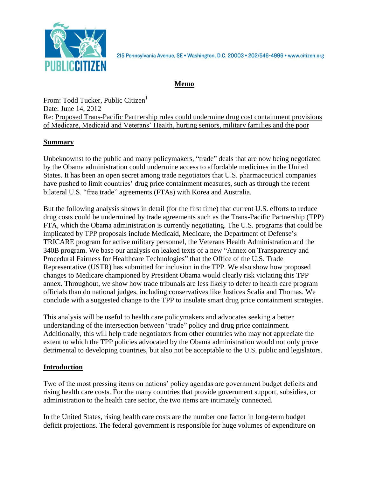

2I5 Pennsylvania Avenue, SE · Washington, D.C. 20003 · 202/546-4996 · www.citizen.org

#### **Memo**

From: Todd Tucker, Public Citizen $<sup>1</sup>$ </sup> Date: June 14, 2012 Re: Proposed Trans-Pacific Partnership rules could undermine drug cost containment provisions of Medicare, Medicaid and Veterans' Health, hurting seniors, military families and the poor

#### **Summary**

Unbeknownst to the public and many policymakers, "trade" deals that are now being negotiated by the Obama administration could undermine access to affordable medicines in the United States. It has been an open secret among trade negotiators that U.S. pharmaceutical companies have pushed to limit countries' drug price containment measures, such as through the recent bilateral U.S. "free trade" agreements (FTAs) with Korea and Australia.

But the following analysis shows in detail (for the first time) that current U.S. efforts to reduce drug costs could be undermined by trade agreements such as the Trans-Pacific Partnership (TPP) FTA, which the Obama administration is currently negotiating. The U.S. programs that could be implicated by TPP proposals include Medicaid, Medicare, the Department of Defense's TRICARE program for active military personnel, the Veterans Health Administration and the 340B program. We base our analysis on leaked texts of a new "Annex on Transparency and Procedural Fairness for Healthcare Technologies" that the Office of the U.S. Trade Representative (USTR) has submitted for inclusion in the TPP. We also show how proposed changes to Medicare championed by President Obama would clearly risk violating this TPP annex. Throughout, we show how trade tribunals are less likely to defer to health care program officials than do national judges, including conservatives like Justices Scalia and Thomas. We conclude with a suggested change to the TPP to insulate smart drug price containment strategies.

This analysis will be useful to health care policymakers and advocates seeking a better understanding of the intersection between "trade" policy and drug price containment. Additionally, this will help trade negotiators from other countries who may not appreciate the extent to which the TPP policies advocated by the Obama administration would not only prove detrimental to developing countries, but also not be acceptable to the U.S. public and legislators.

#### **Introduction**

Two of the most pressing items on nations' policy agendas are government budget deficits and rising health care costs. For the many countries that provide government support, subsidies, or administration to the health care sector, the two items are intimately connected.

In the United States, rising health care costs are the number one factor in long-term budget deficit projections. The federal government is responsible for huge volumes of expenditure on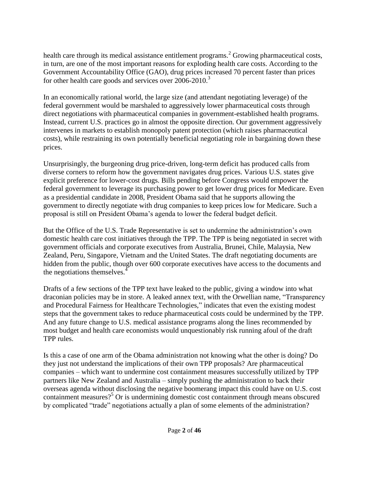health care through its medical assistance entitlement programs.<sup>2</sup> Growing pharmaceutical costs, in turn, are one of the most important reasons for exploding health care costs. According to the Government Accountability Office (GAO), drug prices increased 70 percent faster than prices for other health care goods and services over 2006-2010.<sup>3</sup>

In an economically rational world, the large size (and attendant negotiating leverage) of the federal government would be marshaled to aggressively lower pharmaceutical costs through direct negotiations with pharmaceutical companies in government-established health programs. Instead, current U.S. practices go in almost the opposite direction. Our government aggressively intervenes in markets to establish monopoly patent protection (which raises pharmaceutical costs), while restraining its own potentially beneficial negotiating role in bargaining down these prices.

Unsurprisingly, the burgeoning drug price-driven, long-term deficit has produced calls from diverse corners to reform how the government navigates drug prices. Various U.S. states give explicit preference for lower-cost drugs. Bills pending before Congress would empower the federal government to leverage its purchasing power to get lower drug prices for Medicare. Even as a presidential candidate in 2008, President Obama said that he supports allowing the government to directly negotiate with drug companies to keep prices low for Medicare. Such a proposal is still on President Obama's agenda to lower the federal budget deficit.

But the Office of the U.S. Trade Representative is set to undermine the administration's own domestic health care cost initiatives through the TPP. The TPP is being negotiated in secret with government officials and corporate executives from Australia, Brunei, Chile, Malaysia, New Zealand, Peru, Singapore, Vietnam and the United States. The draft negotiating documents are hidden from the public, though over 600 corporate executives have access to the documents and the negotiations themselves. $4$ 

Drafts of a few sections of the TPP text have leaked to the public, giving a window into what draconian policies may be in store. A leaked annex text, with the Orwellian name, "Transparency and Procedural Fairness for Healthcare Technologies," indicates that even the existing modest steps that the government takes to reduce pharmaceutical costs could be undermined by the TPP. And any future change to U.S. medical assistance programs along the lines recommended by most budget and health care economists would unquestionably risk running afoul of the draft TPP rules.

Is this a case of one arm of the Obama administration not knowing what the other is doing? Do they just not understand the implications of their own TPP proposals? Are pharmaceutical companies – which want to undermine cost containment measures successfully utilized by TPP partners like New Zealand and Australia – simply pushing the administration to back their overseas agenda without disclosing the negative boomerang impact this could have on U.S. cost containment measures?<sup>5</sup> Or is undermining domestic cost containment through means obscured by complicated "trade" negotiations actually a plan of some elements of the administration?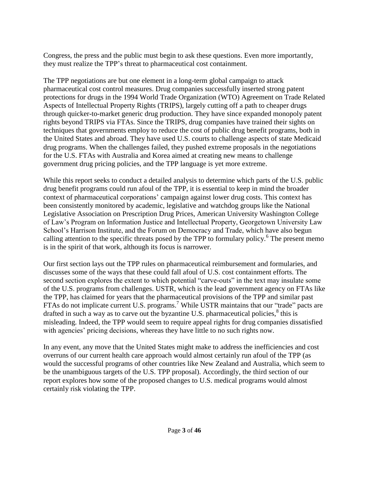Congress, the press and the public must begin to ask these questions. Even more importantly, they must realize the TPP's threat to pharmaceutical cost containment.

The TPP negotiations are but one element in a long-term global campaign to attack pharmaceutical cost control measures. Drug companies successfully inserted strong patent protections for drugs in the 1994 World Trade Organization (WTO) Agreement on Trade Related Aspects of Intellectual Property Rights (TRIPS), largely cutting off a path to cheaper drugs through quicker-to-market generic drug production. They have since expanded monopoly patent rights beyond TRIPS via FTAs. Since the TRIPS, drug companies have trained their sights on techniques that governments employ to reduce the cost of public drug benefit programs, both in the United States and abroad. They have used U.S. courts to challenge aspects of state Medicaid drug programs. When the challenges failed, they pushed extreme proposals in the negotiations for the U.S. FTAs with Australia and Korea aimed at creating new means to challenge government drug pricing policies, and the TPP language is yet more extreme.

While this report seeks to conduct a detailed analysis to determine which parts of the U.S. public drug benefit programs could run afoul of the TPP, it is essential to keep in mind the broader context of pharmaceutical corporations' campaign against lower drug costs. This context has been consistently monitored by academic, legislative and watchdog groups like the National Legislative Association on Prescription Drug Prices, American University Washington College of Law's Program on Information Justice and Intellectual Property, Georgetown University Law School's Harrison Institute, and the Forum on Democracy and Trade, which have also begun calling attention to the specific threats posed by the TPP to formulary policy.<sup>6</sup> The present memo is in the spirit of that work, although its focus is narrower.

Our first section lays out the TPP rules on pharmaceutical reimbursement and formularies, and discusses some of the ways that these could fall afoul of U.S. cost containment efforts. The second section explores the extent to which potential "carve-outs" in the text may insulate some of the U.S. programs from challenges. USTR, which is the lead government agency on FTAs like the TPP, has claimed for years that the pharmaceutical provisions of the TPP and similar past FTAs do not implicate current U.S. programs.<sup>7</sup> While USTR maintains that our "trade" pacts are drafted in such a way as to carve out the byzantine U.S. pharmaceutical policies, $^8$  this is misleading. Indeed, the TPP would seem to require appeal rights for drug companies dissatisfied with agencies' pricing decisions, whereas they have little to no such rights now.

In any event, any move that the United States might make to address the inefficiencies and cost overruns of our current health care approach would almost certainly run afoul of the TPP (as would the successful programs of other countries like New Zealand and Australia, which seem to be the unambiguous targets of the U.S. TPP proposal). Accordingly, the third section of our report explores how some of the proposed changes to U.S. medical programs would almost certainly risk violating the TPP.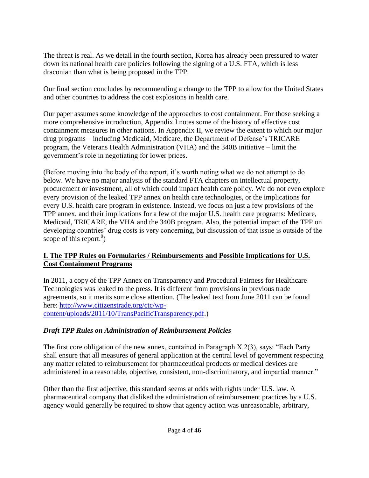The threat is real. As we detail in the fourth section, Korea has already been pressured to water down its national health care policies following the signing of a U.S. FTA, which is less draconian than what is being proposed in the TPP.

Our final section concludes by recommending a change to the TPP to allow for the United States and other countries to address the cost explosions in health care.

Our paper assumes some knowledge of the approaches to cost containment. For those seeking a more comprehensive introduction, Appendix I notes some of the history of effective cost containment measures in other nations. In Appendix II, we review the extent to which our major drug programs – including Medicaid, Medicare, the Department of Defense's TRICARE program, the Veterans Health Administration (VHA) and the 340B initiative – limit the government's role in negotiating for lower prices.

(Before moving into the body of the report, it's worth noting what we do not attempt to do below. We have no major analysis of the standard FTA chapters on intellectual property, procurement or investment, all of which could impact health care policy. We do not even explore every provision of the leaked TPP annex on health care technologies, or the implications for every U.S. health care program in existence. Instead, we focus on just a few provisions of the TPP annex, and their implications for a few of the major U.S. health care programs: Medicare, Medicaid, TRICARE, the VHA and the 340B program. Also, the potential impact of the TPP on developing countries' drug costs is very concerning, but discussion of that issue is outside of the scope of this report. $9$ 

## **I. The TPP Rules on Formularies / Reimbursements and Possible Implications for U.S. Cost Containment Programs**

In 2011, a copy of the TPP Annex on Transparency and Procedural Fairness for Healthcare Technologies was leaked to the press. It is different from provisions in previous trade agreements, so it merits some close attention. (The leaked text from June 2011 can be found here: [http://www.citizenstrade.org/ctc/wp](http://www.citizenstrade.org/ctc/wp-content/uploads/2011/10/TransPacificTransparency.pdf)[content/uploads/2011/10/TransPacificTransparency.pdf.](http://www.citizenstrade.org/ctc/wp-content/uploads/2011/10/TransPacificTransparency.pdf))

## *Draft TPP Rules on Administration of Reimbursement Policies*

The first core obligation of the new annex, contained in Paragraph X.2(3), says: "Each Party shall ensure that all measures of general application at the central level of government respecting any matter related to reimbursement for pharmaceutical products or medical devices are administered in a reasonable, objective, consistent, non-discriminatory, and impartial manner."

Other than the first adjective, this standard seems at odds with rights under U.S. law. A pharmaceutical company that disliked the administration of reimbursement practices by a U.S. agency would generally be required to show that agency action was unreasonable, arbitrary,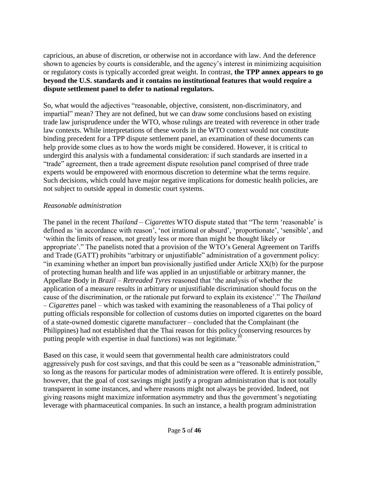capricious, an abuse of discretion, or otherwise not in accordance with law. And the deference shown to agencies by courts is considerable, and the agency's interest in minimizing acquisition or regulatory costs is typically accorded great weight. In contrast, **the TPP annex appears to go beyond the U.S. standards and it contains no institutional features that would require a dispute settlement panel to defer to national regulators.** 

So, what would the adjectives "reasonable, objective, consistent, non-discriminatory, and impartial" mean? They are not defined, but we can draw some conclusions based on existing trade law jurisprudence under the WTO, whose rulings are treated with reverence in other trade law contexts. While interpretations of these words in the WTO context would not constitute binding precedent for a TPP dispute settlement panel, an examination of these documents can help provide some clues as to how the words might be considered. However, it is critical to undergird this analysis with a fundamental consideration: if such standards are inserted in a "trade" agreement, then a trade agreement dispute resolution panel comprised of three trade experts would be empowered with enormous discretion to determine what the terms require. Such decisions, which could have major negative implications for domestic health policies, are not subject to outside appeal in domestic court systems.

#### *Reasonable administration*

The panel in the recent *Thailand – Cigarettes* WTO dispute stated that "The term 'reasonable' is defined as 'in accordance with reason', 'not irrational or absurd', 'proportionate', 'sensible', and 'within the limits of reason, not greatly less or more than might be thought likely or appropriate'." The panelists noted that a provision of the WTO's General Agreement on Tariffs and Trade (GATT) prohibits "arbitrary or unjustifiable" administration of a government policy: "in examining whether an import ban provisionally justified under Article XX(b) for the purpose of protecting human health and life was applied in an unjustifiable or arbitrary manner, the Appellate Body in *Brazil – Retreaded Tyres* reasoned that 'the analysis of whether the application of a measure results in arbitrary or unjustifiable discrimination should focus on the cause of the discrimination, or the rationale put forward to explain its existence'." The *Thailand – Cigarettes* panel – which was tasked with examining the reasonableness of a Thai policy of putting officials responsible for collection of customs duties on imported cigarettes on the board of a state-owned domestic cigarette manufacturer – concluded that the Complainant (the Philippines) had not established that the Thai reason for this policy (conserving resources by putting people with expertise in dual functions) was not legitimate.<sup>10</sup>

Based on this case, it would seem that governmental health care administrators could aggressively push for cost savings, and that this could be seen as a "reasonable administration," so long as the reasons for particular modes of administration were offered. It is entirely possible, however, that the goal of cost savings might justify a program administration that is not totally transparent in some instances, and where reasons might not always be provided. Indeed, not giving reasons might maximize information asymmetry and thus the government's negotiating leverage with pharmaceutical companies. In such an instance, a health program administration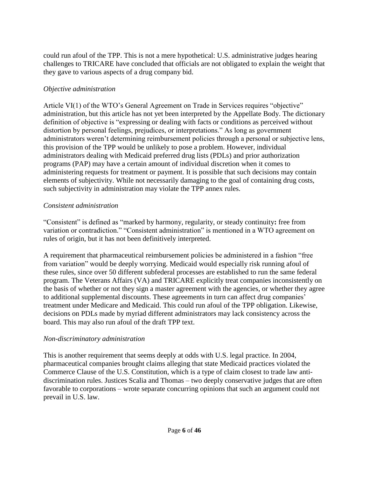could run afoul of the TPP. This is not a mere hypothetical: U.S. administrative judges hearing challenges to TRICARE have concluded that officials are not obligated to explain the weight that they gave to various aspects of a drug company bid.

#### *Objective administration*

Article VI(1) of the WTO's General Agreement on Trade in Services requires "objective" administration, but this article has not yet been interpreted by the Appellate Body. The dictionary definition of objective is "expressing or dealing with facts or conditions as perceived without distortion by personal feelings, prejudices, or interpretations." As long as government administrators weren't determining reimbursement policies through a personal or subjective lens, this provision of the TPP would be unlikely to pose a problem. However, individual administrators dealing with Medicaid preferred drug lists (PDLs) and prior authorization programs (PAP) may have a certain amount of individual discretion when it comes to administering requests for treatment or payment. It is possible that such decisions may contain elements of subjectivity. While not necessarily damaging to the goal of containing drug costs, such subjectivity in administration may violate the TPP annex rules.

#### *Consistent administration*

"Consistent" is defined as "marked by harmony, regularity, or steady continuity**:** free from variation or contradiction." "Consistent administration" is mentioned in a WTO agreement on rules of origin, but it has not been definitively interpreted.

A requirement that pharmaceutical reimbursement policies be administered in a fashion "free from variation" would be deeply worrying. Medicaid would especially risk running afoul of these rules, since over 50 different subfederal processes are established to run the same federal program. The Veterans Affairs (VA) and TRICARE explicitly treat companies inconsistently on the basis of whether or not they sign a master agreement with the agencies, or whether they agree to additional supplemental discounts. These agreements in turn can affect drug companies' treatment under Medicare and Medicaid. This could run afoul of the TPP obligation. Likewise, decisions on PDLs made by myriad different administrators may lack consistency across the board. This may also run afoul of the draft TPP text.

## *Non-discriminatory administration*

This is another requirement that seems deeply at odds with U.S. legal practice. In 2004, pharmaceutical companies brought claims alleging that state Medicaid practices violated the Commerce Clause of the U.S. Constitution, which is a type of claim closest to trade law antidiscrimination rules. Justices Scalia and Thomas – two deeply conservative judges that are often favorable to corporations – wrote separate concurring opinions that such an argument could not prevail in U.S. law.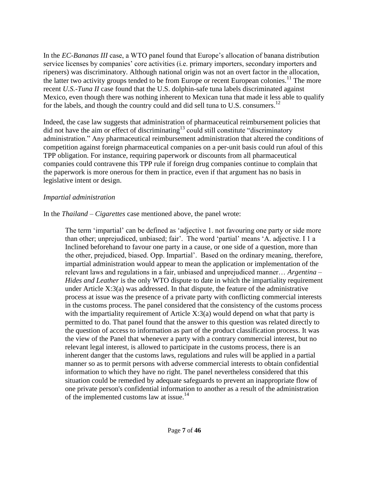In the *EC-Bananas III* case, a WTO panel found that Europe's allocation of banana distribution service licenses by companies' core activities (i.e. primary importers, secondary importers and ripeners) was discriminatory. Although national origin was not an overt factor in the allocation, the latter two activity groups tended to be from Europe or recent European colonies.<sup>11</sup> The more recent *U.S.-Tuna II* case found that the U.S. dolphin-safe tuna labels discriminated against Mexico, even though there was nothing inherent to Mexican tuna that made it less able to qualify for the labels, and though the country could and did sell tuna to U.S. consumers.<sup>12</sup>

Indeed, the case law suggests that administration of pharmaceutical reimbursement policies that did not have the aim or effect of discriminating<sup>13</sup> could still constitute "discriminatory" administration." Any pharmaceutical reimbursement administration that altered the conditions of competition against foreign pharmaceutical companies on a per-unit basis could run afoul of this TPP obligation. For instance, requiring paperwork or discounts from all pharmaceutical companies could contravene this TPP rule if foreign drug companies continue to complain that the paperwork is more onerous for them in practice, even if that argument has no basis in legislative intent or design.

#### *Impartial administration*

In the *Thailand – Cigarettes* case mentioned above, the panel wrote:

The term 'impartial' can be defined as 'adjective 1. not favouring one party or side more than other; unprejudiced, unbiased; fair'. The word 'partial' means 'A. adjective. I 1 a Inclined beforehand to favour one party in a cause, or one side of a question, more than the other, prejudiced, biased. Opp. Impartial'. Based on the ordinary meaning, therefore, impartial administration would appear to mean the application or implementation of the relevant laws and regulations in a fair, unbiased and unprejudiced manner… *Argentina – Hides and Leather* is the only WTO dispute to date in which the impartiality requirement under Article X:3(a) was addressed. In that dispute, the feature of the administrative process at issue was the presence of a private party with conflicting commercial interests in the customs process. The panel considered that the consistency of the customs process with the impartiality requirement of Article X:3(a) would depend on what that party is permitted to do. That panel found that the answer to this question was related directly to the question of access to information as part of the product classification process. It was the view of the Panel that whenever a party with a contrary commercial interest, but no relevant legal interest, is allowed to participate in the customs process, there is an inherent danger that the customs laws, regulations and rules will be applied in a partial manner so as to permit persons with adverse commercial interests to obtain confidential information to which they have no right. The panel nevertheless considered that this situation could be remedied by adequate safeguards to prevent an inappropriate flow of one private person's confidential information to another as a result of the administration of the implemented customs law at issue.<sup>14</sup>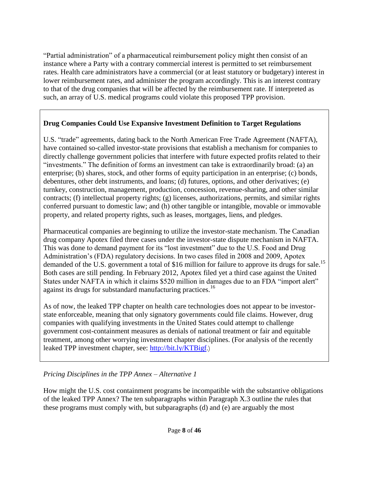"Partial administration" of a pharmaceutical reimbursement policy might then consist of an instance where a Party with a contrary commercial interest is permitted to set reimbursement rates. Health care administrators have a commercial (or at least statutory or budgetary) interest in lower reimbursement rates, and administer the program accordingly. This is an interest contrary to that of the drug companies that will be affected by the reimbursement rate. If interpreted as such, an array of U.S. medical programs could violate this proposed TPP provision.

## **Drug Companies Could Use Expansive Investment Definition to Target Regulations**

U.S. "trade" agreements, dating back to the North American Free Trade Agreement (NAFTA), have contained so-called investor-state provisions that establish a mechanism for companies to directly challenge government policies that interfere with future expected profits related to their "investments." The definition of forms an investment can take is extraordinarily broad: (a) an enterprise; (b) shares, stock, and other forms of equity participation in an enterprise; (c) bonds, debentures, other debt instruments, and loans; (d) futures, options, and other derivatives; (e) turnkey, construction, management, production, concession, revenue-sharing, and other similar contracts; (f) intellectual property rights; (g) licenses, authorizations, permits, and similar rights conferred pursuant to domestic law; and (h) other tangible or intangible, movable or immovable property, and related property rights, such as leases, mortgages, liens, and pledges.

Pharmaceutical companies are beginning to utilize the investor-state mechanism. The Canadian drug company Apotex filed three cases under the investor-state dispute mechanism in NAFTA. This was done to demand payment for its "lost investment" due to the U.S. Food and Drug Administration's (FDA) regulatory decisions. In two cases filed in 2008 and 2009, Apotex demanded of the U.S. government a total of \$16 million for failure to approve its drugs for sale.<sup>15</sup> Both cases are still pending. In February 2012, Apotex filed yet a third case against the United States under NAFTA in which it claims \$520 million in damages due to an FDA "import alert" against its drugs for substandard manufacturing practices.<sup>16</sup>

As of now, the leaked TPP chapter on health care technologies does not appear to be investorstate enforceable, meaning that only signatory governments could file claims. However, drug companies with qualifying investments in the United States could attempt to challenge government cost-containment measures as denials of national treatment or fair and equitable treatment, among other worrying investment chapter disciplines. (For analysis of the recently leaked TPP investment chapter, see: [http://bit.ly/KTBigf](http://t.co/rp51WINv).)

## *Pricing Disciplines in the TPP Annex – Alternative 1*

How might the U.S. cost containment programs be incompatible with the substantive obligations of the leaked TPP Annex? The ten subparagraphs within Paragraph X.3 outline the rules that these programs must comply with, but subparagraphs (d) and (e) are arguably the most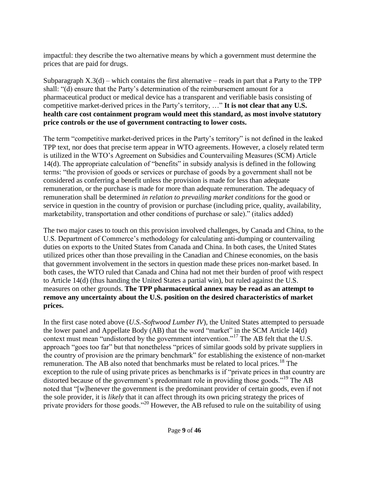impactful: they describe the two alternative means by which a government must determine the prices that are paid for drugs.

Subparagraph  $X.3(d)$  – which contains the first alternative – reads in part that a Party to the TPP shall: "(d) ensure that the Party's determination of the reimbursement amount for a pharmaceutical product or medical device has a transparent and verifiable basis consisting of competitive market-derived prices in the Party's territory, …" **It is not clear that any U.S. health care cost containment program would meet this standard, as most involve statutory price controls or the use of government contracting to lower costs.**

The term "competitive market-derived prices in the Party's territory" is not defined in the leaked TPP text, nor does that precise term appear in WTO agreements. However, a closely related term is utilized in the WTO's Agreement on Subsidies and Countervailing Measures (SCM) Article 14(d). The appropriate calculation of "benefits" in subsidy analysis is defined in the following terms: "the provision of goods or services or purchase of goods by a government shall not be considered as conferring a benefit unless the provision is made for less than adequate remuneration, or the purchase is made for more than adequate remuneration. The adequacy of remuneration shall be determined *in relation to prevailing market conditions* for the good or service in question in the country of provision or purchase (including price, quality, availability, marketability, transportation and other conditions of purchase or sale)." (italics added)

The two major cases to touch on this provision involved challenges, by Canada and China, to the U.S. Department of Commerce's methodology for calculating anti-dumping or countervailing duties on exports to the United States from Canada and China. In both cases, the United States utilized prices other than those prevailing in the Canadian and Chinese economies, on the basis that government involvement in the sectors in question made these prices non-market based. In both cases, the WTO ruled that Canada and China had not met their burden of proof with respect to Article 14(d) (thus handing the United States a partial win), but ruled against the U.S. measures on other grounds. **The TPP pharmaceutical annex may be read as an attempt to remove any uncertainty about the U.S. position on the desired characteristics of market prices.**

In the first case noted above (*U.S.-Softwood Lumber IV*), the United States attempted to persuade the lower panel and Appellate Body (AB) that the word "market" in the SCM Article 14(d) context must mean "undistorted by the government intervention."<sup>17</sup> The AB felt that the U.S. approach "goes too far" but that nonetheless "prices of similar goods sold by private suppliers in the country of provision are the primary benchmark" for establishing the existence of non-market remuneration. The AB also noted that benchmarks must be related to local prices.<sup>18</sup> The exception to the rule of using private prices as benchmarks is if "private prices in that country are distorted because of the government's predominant role in providing those goods."<sup>19</sup> The AB noted that "[w]henever the government is the predominant provider of certain goods, even if not the sole provider, it is *likely* that it can affect through its own pricing strategy the prices of private providers for those goods."<sup>20</sup> However, the AB refused to rule on the suitability of using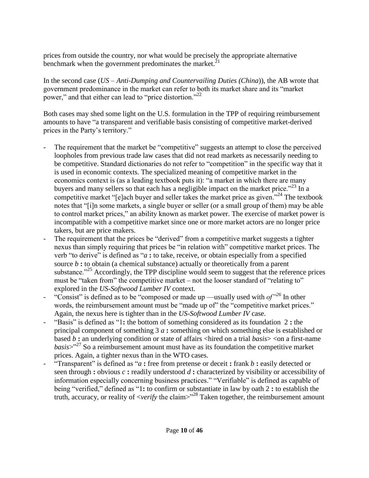prices from outside the country, nor what would be precisely the appropriate alternative benchmark when the government predominates the market. $^{21}$ 

In the second case (*US – Anti-Dumping and Countervailing Duties (China*)), the AB wrote that government predominance in the market can refer to both its market share and its "market power," and that either can lead to "price distortion."<sup>22</sup>

Both cases may shed some light on the U.S. formulation in the TPP of requiring reimbursement amounts to have "a transparent and verifiable basis consisting of competitive market-derived prices in the Party's territory."

- The requirement that the market be "competitive" suggests an attempt to close the perceived loopholes from previous trade law cases that did not read markets as necessarily needing to be competitive. Standard dictionaries do not refer to "competition" in the specific way that it is used in economic contexts. The specialized meaning of competitive market in the economics context is (as a leading textbook puts it): "a market in which there are many buyers and many sellers so that each has a negligible impact on the market price.<sup> $22$ </sup> In a competitive market "[e]ach buyer and seller takes the market price as given."<sup>24</sup> The textbook notes that "[i]n some markets, a single buyer or seller (or a small group of them) may be able to control market prices," an ability known as market power. The exercise of market power is incompatible with a competitive market since one or more market actors are no longer price takers, but are price makers.
- The requirement that the prices be "derived" from a competitive market suggests a tighter nexus than simply requiring that prices be "in relation with" competitive market prices. The verb "to derive" is defined as "*a* **:** to take, receive, or obtain especially from a specified source *b* **:** to obtain (a chemical substance) actually or theoretically from a parent substance."<sup>25</sup> Accordingly, the TPP discipline would seem to suggest that the reference prices must be "taken from" the competitive market – not the looser standard of "relating to" explored in the *US-Softwood Lumber IV* context.
- "Consist" is defined as to be "composed or made up —usually used with *of"<sup>26</sup>* In other words, the reimbursement amount must be "made up of" the "competitive market prices." Again, the nexus here is tighter than in the *US-Softwood Lumber IV* case.
- "Basis" is defined as "1**:** the bottom of something considered as its foundation 2 **:** the principal component of something 3 *a* **:** something on which something else is established or based *b* **:** an underlying condition or state of affairs <hired on a trial *basis* > <on a first-name *basis*>"<sup>27</sup> So a reimbursement amount must have as its foundation the competitive market prices. Again, a tighter nexus than in the WTO cases.
- "Transparent" is defined as "*a* **:** free from pretense or deceit **:** frank *b* **:** easily detected or seen through **:** obvious *c* **:** readily understood *d* **:** characterized by visibility or accessibility of information especially concerning business practices." "Verifiable" is defined as capable of being "verified," defined as "1**:** to confirm or substantiate in law by oath 2 **:** to establish the truth, accuracy, or reality of *<verify* the claim><sup>228</sup> Taken together, the reimbursement amount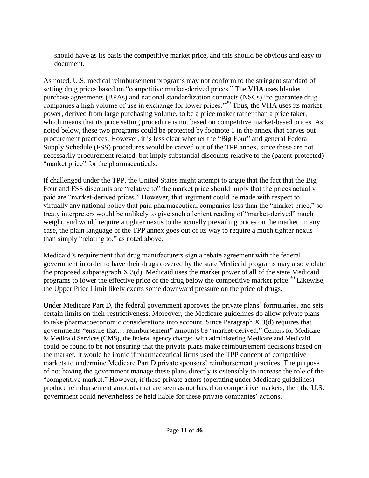should have as its basis the competitive market price, and this should be obvious and easy to document.

As noted, U.S. medical reimbursement programs may not conform to the stringent standard of setting drug prices based on "competitive market-derived prices." The VHA uses blanket purchase agreements (BPAs) and national standardization contracts (NSCs) "to guarantee drug companies a high volume of use in exchange for lower prices."<sup>29</sup> Thus, the VHA uses its market power, derived from large purchasing volume, to be a price maker rather than a price taker, which means that its price setting procedure is not based on competitive market-based prices. As noted below, these two programs could be protected by footnote 1 in the annex that carves out procurement practices. However, it is less clear whether the "Big Four" and general Federal Supply Schedule (FSS) procedures would be carved out of the TPP annex, since these are not necessarily procurement related, but imply substantial discounts relative to the (patent-protected) "market price" for the pharmaceuticals.

If challenged under the TPP, the United States might attempt to argue that the fact that the Big Four and FSS discounts are "relative to" the market price should imply that the prices actually paid are "market-derived prices." However, that argument could be made with respect to virtually any national policy that paid pharmaceutical companies less than the "market price," so treaty interpreters would be unlikely to give such a lenient reading of "market-derived" much weight, and would require a tighter nexus to the actually prevailing prices on the market. In any case, the plain language of the TPP annex goes out of its way to require a much tighter nexus than simply "relating to," as noted above.

Medicaid's requirement that drug manufacturers sign a rebate agreement with the federal government in order to have their drugs covered by the state Medicaid programs may also violate the proposed subparagraph X.3(d). Medicaid uses the market power of all of the state Medicaid programs to lower the effective price of the drug below the competitive market price.<sup>30</sup> Likewise, the Upper Price Limit likely exerts some downward pressure on the price of drugs.

Under Medicare Part D, the federal government approves the private plans' formularies, and sets certain limits on their restrictiveness. Moreover, the Medicare guidelines do allow private plans to take pharmacoeconomic considerations into account. Since Paragraph X.3(d) requires that governments "ensure that… reimbursement" amounts be "market-derived," Centers for Medicare & Medicaid Services (CMS), the federal agency charged with administering Medicare and Medicaid, could be found to be not ensuring that the private plans make reimbursement decisions based on the market. It would be ironic if pharmaceutical firms used the TPP concept of competitive markets to undermine Medicare Part D private sponsors' reimbursement practices. The purpose of not having the government manage these plans directly is ostensibly to increase the role of the "competitive market." However, if these private actors (operating under Medicare guidelines) produce reimbursement amounts that are seen as not based on competitive markets, then the U.S. government could nevertheless be held liable for these private companies' actions.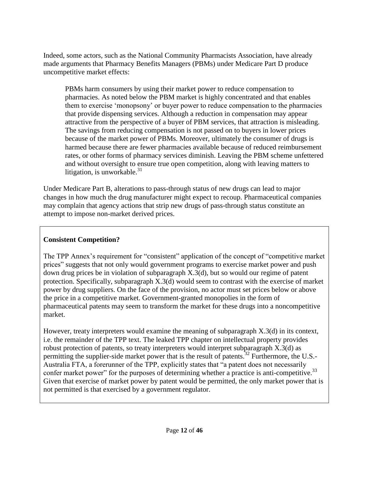Indeed, some actors, such as the National Community Pharmacists Association, have already made arguments that Pharmacy Benefits Managers (PBMs) under Medicare Part D produce uncompetitive market effects:

PBMs harm consumers by using their market power to reduce compensation to pharmacies. As noted below the PBM market is highly concentrated and that enables them to exercise 'monopsony' or buyer power to reduce compensation to the pharmacies that provide dispensing services. Although a reduction in compensation may appear attractive from the perspective of a buyer of PBM services, that attraction is misleading. The savings from reducing compensation is not passed on to buyers in lower prices because of the market power of PBMs. Moreover, ultimately the consumer of drugs is harmed because there are fewer pharmacies available because of reduced reimbursement rates, or other forms of pharmacy services diminish. Leaving the PBM scheme unfettered and without oversight to ensure true open competition, along with leaving matters to litigation, is unworkable. $31$ 

Under Medicare Part B, alterations to pass-through status of new drugs can lead to major changes in how much the drug manufacturer might expect to recoup. Pharmaceutical companies may complain that agency actions that strip new drugs of pass-through status constitute an attempt to impose non-market derived prices.

#### **Consistent Competition?**

The TPP Annex's requirement for "consistent" application of the concept of "competitive market prices" suggests that not only would government programs to exercise market power and push down drug prices be in violation of subparagraph X.3(d), but so would our regime of patent protection. Specifically, subparagraph X.3(d) would seem to contrast with the exercise of market power by drug suppliers. On the face of the provision, no actor must set prices below or above the price in a competitive market. Government-granted monopolies in the form of pharmaceutical patents may seem to transform the market for these drugs into a noncompetitive market.

However, treaty interpreters would examine the meaning of subparagraph X.3(d) in its context, i.e. the remainder of the TPP text. The leaked TPP chapter on intellectual property provides robust protection of patents, so treaty interpreters would interpret subparagraph X.3(d) as permitting the supplier-side market power that is the result of patents.<sup>32</sup> Furthermore, the U.S.-Australia FTA, a forerunner of the TPP, explicitly states that "a patent does not necessarily confer market power" for the purposes of determining whether a practice is anti-competitive.<sup>33</sup> Given that exercise of market power by patent would be permitted, the only market power that is not permitted is that exercised by a government regulator.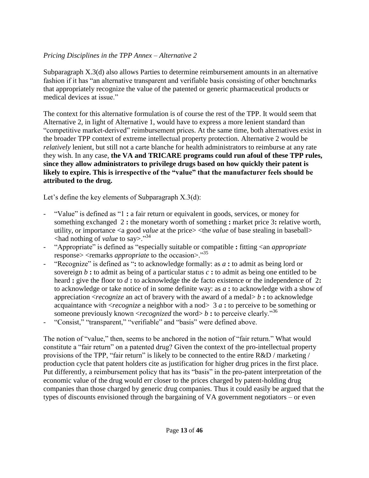#### *Pricing Disciplines in the TPP Annex – Alternative 2*

Subparagraph X.3(d) also allows Parties to determine reimbursement amounts in an alternative fashion if it has "an alternative transparent and verifiable basis consisting of other benchmarks that appropriately recognize the value of the patented or generic pharmaceutical products or medical devices at issue."

The context for this alternative formulation is of course the rest of the TPP. It would seem that Alternative 2, in light of Alternative 1, would have to express a more lenient standard than "competitive market-derived" reimbursement prices. At the same time, both alternatives exist in the broader TPP context of extreme intellectual property protection. Alternative 2 would be *relatively* lenient, but still not a carte blanche for health administrators to reimburse at any rate they wish. In any case, **the VA and TRICARE programs could run afoul of these TPP rules, since they allow administrators to privilege drugs based on how quickly their patent is likely to expire. This is irrespective of the "value" that the manufacturer feels should be attributed to the drug.**

Let's define the key elements of Subparagraph X.3(d):

- "Value" is defined as "1 **:** a fair return or equivalent in goods, services, or money for something exchanged 2 **:** the monetary worth of something **:** market price 3**:** relative worth, utility, or importance <a good *value* at the price> <the *value* of base stealing in baseball> <had nothing of *value* to say>."<sup>34</sup>
- "Appropriate" is defined as "especially suitable or compatible **:** fitting <an *appropriate* response> <remarks *appropriate* to the occasion>."<sup>35</sup>
- "Recognize" is defined as "**:** to acknowledge formally: as *a* **:** to admit as being lord or sovereign  $b$  **:** to admit as being of a particular status  $c$  **:** to admit as being one entitled to be heard **:** give the floor to *d* **:** to acknowledge the de facto existence or the independence of 2**:** to acknowledge or take notice of in some definite way: as *a* **:** to acknowledge with a show of appreciation <*recognize* an act of bravery with the award of a medal> *b* **:** to acknowledge acquaintance with <*recognize* a neighbor with a nod> 3 *a* **:** to perceive to be something or someone previously known  $\langle \text{recognized the word} \rangle b$ : to perceive clearly.<sup>36</sup>
- "Consist," "transparent," "verifiable" and "basis" were defined above.

The notion of "value," then, seems to be anchored in the notion of "fair return." What would constitute a "fair return" on a patented drug? Given the context of the pro-intellectual property provisions of the TPP, "fair return" is likely to be connected to the entire R&D / marketing / production cycle that patent holders cite as justification for higher drug prices in the first place. Put differently, a reimbursement policy that has its "basis" in the pro-patent interpretation of the economic value of the drug would err closer to the prices charged by patent-holding drug companies than those charged by generic drug companies. Thus it could easily be argued that the types of discounts envisioned through the bargaining of VA government negotiators – or even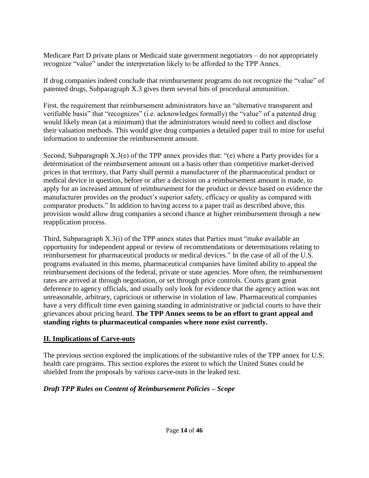Medicare Part D private plans or Medicaid state government negotiators – do not appropriately recognize "value" under the interpretation likely to be afforded to the TPP Annex.

If drug companies indeed conclude that reimbursement programs do not recognize the "value" of patented drugs, Subparagraph X.3 gives them several bits of procedural ammunition.

First, the requirement that reimbursement administrators have an "alternative transparent and verifiable basis" that "recognizes" (i.e. acknowledges formally) the "value" of a patented drug would likely mean (at a minimum) that the administrators would need to collect and disclose their valuation methods. This would give drug companies a detailed paper trail to mine for useful information to undermine the reimbursement amount.

Second, Subparagraph X.3(e) of the TPP annex provides that: "(e) where a Party provides for a determination of the reimbursement amount on a basis other than competitive market-derived prices in that territory, that Party shall permit a manufacturer of the pharmaceutical product or medical device in question, before or after a decision on a reimbursement amount is made, to apply for an increased amount of reimbursement for the product or device based on evidence the manufacturer provides on the product's superior safety, efficacy or quality as compared with comparator products." In addition to having access to a paper trail as described above, this provision would allow drug companies a second chance at higher reimbursement through a new reapplication process.

Third, Subparagraph X.3(i) of the TPP annex states that Parties must "make available an opportunity for independent appeal or review of recommendations or determinations relating to reimbursement for pharmaceutical products or medical devices." In the case of all of the U.S. programs evaluated in this memo, pharmaceutical companies have limited ability to appeal the reimbursement decisions of the federal, private or state agencies. More often, the reimbursement rates are arrived at through negotiation, or set through price controls. Courts grant great deference to agency officials, and usually only look for evidence that the agency action was not unreasonable, arbitrary, capricious or otherwise in violation of law. Pharmaceutical companies have a very difficult time even gaining standing in administrative or judicial courts to have their grievances about pricing heard. **The TPP Annex seems to be an effort to grant appeal and standing rights to pharmaceutical companies where none exist currently.**

## **II. Implications of Carve-outs**

The previous section explored the implications of the substantive rules of the TPP annex for U.S. health care programs. This section explores the extent to which the United States could be shielded from the proposals by various carve-outs in the leaked text.

## *Draft TPP Rules on Content of Reimbursement Policies – Scope*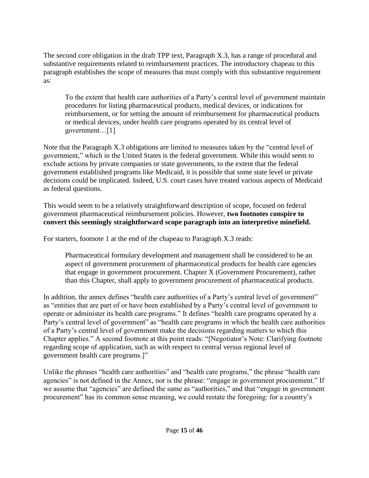The second core obligation in the draft TPP text, Paragraph X.3, has a range of procedural and substantive requirements related to reimbursement practices. The introductory chapeau to this paragraph establishes the scope of measures that must comply with this substantive requirement as:

To the extent that health care authorities of a Party's central level of government maintain procedures for listing pharmaceutical products, medical devices, or indications for reimbursement, or for setting the amount of reimbursement for pharmaceutical products or medical devices, under health care programs operated by its central level of government…[1]

Note that the Paragraph X.3 obligations are limited to measures taken by the "central level of government," which in the United States is the federal government. While this would seem to exclude actions by private companies or state governments, to the extent that the federal government established programs like Medicaid, it is possible that some state level or private decisions could be implicated. Indeed, U.S. court cases have treated various aspects of Medicaid as federal questions.

This would seem to be a relatively straightforward description of scope, focused on federal government pharmaceutical reimbursement policies. However, **two footnotes conspire to convert this seemingly straightforward scope paragraph into an interpretive minefield.**

For starters, footnote 1 at the end of the chapeau to Paragraph X.3 reads:

Pharmaceutical formulary development and management shall be considered to be an aspect of government procurement of pharmaceutical products for health care agencies that engage in government procurement. Chapter X (Government Procurement), rather than this Chapter, shall apply to government procurement of pharmaceutical products.

In addition, the annex defines "health care authorities of a Party's central level of government" as "entities that are part of or have been established by a Party's central level of government to operate or administer its health care programs." It defines "health care programs operated by a Party's central level of government" as "health care programs in which the health care authorities of a Party's central level of government make the decisions regarding matters to which this Chapter applies." A second footnote at this point reads: "[Negotiator's Note: Clarifying footnote regarding scope of application, such as with respect to central versus regional level of government health care programs.]"

Unlike the phrases "health care authorities" and "health care programs," the phrase "health care agencies" is not defined in the Annex, nor is the phrase: "engage in government procurement." If we assume that "agencies" are defined the same as "authorities," and that "engage in government procurement" has its common sense meaning, we could restate the foregoing: for a country's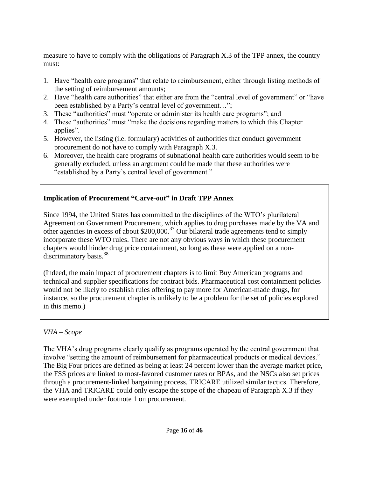measure to have to comply with the obligations of Paragraph X.3 of the TPP annex, the country must:

- 1. Have "health care programs" that relate to reimbursement, either through listing methods of the setting of reimbursement amounts;
- 2. Have "health care authorities" that either are from the "central level of government" or "have been established by a Party's central level of government...";
- 3. These "authorities" must "operate or administer its health care programs"; and
- 4. These "authorities" must "make the decisions regarding matters to which this Chapter applies".
- 5. However, the listing (i.e. formulary) activities of authorities that conduct government procurement do not have to comply with Paragraph X.3.
- 6. Moreover, the health care programs of subnational health care authorities would seem to be generally excluded, unless an argument could be made that these authorities were "established by a Party's central level of government."

# **Implication of Procurement "Carve-out" in Draft TPP Annex**

Since 1994, the United States has committed to the disciplines of the WTO's plurilateral Agreement on Government Procurement, which applies to drug purchases made by the VA and other agencies in excess of about \$200,000.<sup>37</sup> Our bilateral trade agreements tend to simply incorporate these WTO rules. There are not any obvious ways in which these procurement chapters would hinder drug price containment, so long as these were applied on a nondiscriminatory basis.<sup>38</sup>

(Indeed, the main impact of procurement chapters is to limit Buy American programs and technical and supplier specifications for contract bids. Pharmaceutical cost containment policies would not be likely to establish rules offering to pay more for American-made drugs, for instance, so the procurement chapter is unlikely to be a problem for the set of policies explored in this memo.)

## *VHA – Scope*

The VHA's drug programs clearly qualify as programs operated by the central government that involve "setting the amount of reimbursement for pharmaceutical products or medical devices." The Big Four prices are defined as being at least 24 percent lower than the average market price, the FSS prices are linked to most-favored customer rates or BPAs, and the NSCs also set prices through a procurement-linked bargaining process. TRICARE utilized similar tactics. Therefore, the VHA and TRICARE could only escape the scope of the chapeau of Paragraph X.3 if they were exempted under footnote 1 on procurement.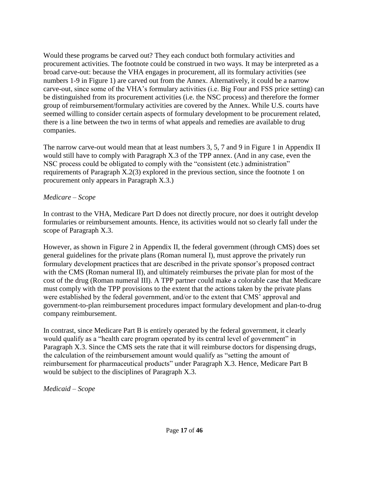Would these programs be carved out? They each conduct both formulary activities and procurement activities. The footnote could be construed in two ways. It may be interpreted as a broad carve-out: because the VHA engages in procurement, all its formulary activities (see numbers 1-9 in Figure 1) are carved out from the Annex. Alternatively, it could be a narrow carve-out, since some of the VHA's formulary activities (i.e. Big Four and FSS price setting) can be distinguished from its procurement activities (i.e. the NSC process) and therefore the former group of reimbursement/formulary activities are covered by the Annex. While U.S. courts have seemed willing to consider certain aspects of formulary development to be procurement related, there is a line between the two in terms of what appeals and remedies are available to drug companies.

The narrow carve-out would mean that at least numbers 3, 5, 7 and 9 in Figure 1 in Appendix II would still have to comply with Paragraph X.3 of the TPP annex. (And in any case, even the NSC process could be obligated to comply with the "consistent (etc.) administration" requirements of Paragraph X.2(3) explored in the previous section, since the footnote 1 on procurement only appears in Paragraph X.3.)

#### *Medicare – Scope*

In contrast to the VHA, Medicare Part D does not directly procure, nor does it outright develop formularies or reimbursement amounts. Hence, its activities would not so clearly fall under the scope of Paragraph X.3.

However, as shown in Figure 2 in Appendix II, the federal government (through CMS) does set general guidelines for the private plans (Roman numeral I), must approve the privately run formulary development practices that are described in the private sponsor's proposed contract with the CMS (Roman numeral II), and ultimately reimburses the private plan for most of the cost of the drug (Roman numeral III). A TPP partner could make a colorable case that Medicare must comply with the TPP provisions to the extent that the actions taken by the private plans were established by the federal government, and/or to the extent that CMS' approval and government-to-plan reimbursement procedures impact formulary development and plan-to-drug company reimbursement.

In contrast, since Medicare Part B is entirely operated by the federal government, it clearly would qualify as a "health care program operated by its central level of government" in Paragraph X.3. Since the CMS sets the rate that it will reimburse doctors for dispensing drugs, the calculation of the reimbursement amount would qualify as "setting the amount of reimbursement for pharmaceutical products" under Paragraph X.3. Hence, Medicare Part B would be subject to the disciplines of Paragraph X.3.

*Medicaid – Scope*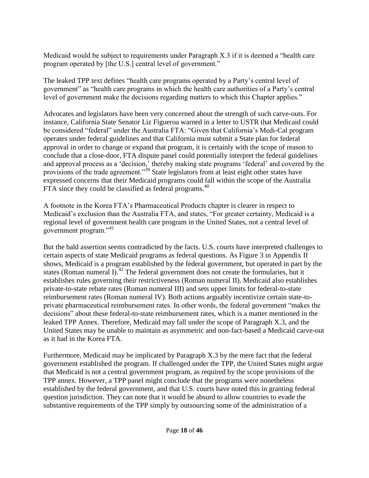Medicaid would be subject to requirements under Paragraph X.3 if it is deemed a "health care program operated by [the U.S.] central level of government."

The leaked TPP text defines "health care programs operated by a Party's central level of government" as "health care programs in which the health care authorities of a Party's central level of government make the decisions regarding matters to which this Chapter applies."

Advocates and legislators have been very concerned about the strength of such carve-outs. For instance, California State Senator Liz Figueroa warned in a letter to USTR that Medicaid could be considered "federal" under the Australia FTA: "Given that California's Medi-Cal program operates under federal guidelines and that California must submit a State plan for federal approval in order to change or expand that program, it is certainly with the scope of reason to conclude that a close-door, FTA dispute panel could potentially interpret the federal guidelines and approval process as a 'decision,' thereby making state programs 'federal' and covered by the provisions of the trade agreement."<sup>39</sup> State legislators from at least eight other states have expressed concerns that their Medicaid programs could fall within the scope of the Australia FTA since they could be classified as federal programs.<sup>40</sup>

A footnote in the Korea FTA's Pharmaceutical Products chapter is clearer in respect to Medicaid's exclusion than the Australia FTA, and states, "For greater certainty, Medicaid is a regional level of government health care program in the United States, not a central level of government program."<sup>41</sup>

But the bald assertion seems contradicted by the facts. U.S. courts have interpreted challenges to certain aspects of state Medicaid programs as federal questions. As Figure 3 in Appendix II shows, Medicaid is a program established by the federal government, but operated in part by the states (Roman numeral I).<sup>42</sup> The federal government does not create the formularies, but it establishes rules governing their restrictiveness (Roman numeral II). Medicaid also establishes private-to-state rebate rates (Roman numeral III) and sets upper limits for federal-to-state reimbursement rates (Roman numeral IV). Both actions arguably incentivize certain state-toprivate pharmaceutical reimbursement rates. In other words, the federal government "makes the decisions" about these federal-to-state reimbursement rates, which is a matter mentioned in the leaked TPP Annex. Therefore, Medicaid may fall under the scope of Paragraph X.3, and the United States may be unable to maintain as asymmetric and non-fact-based a Medicaid carve-out as it had in the Korea FTA.

Furthermore, Medicaid may be implicated by Paragraph X.3 by the mere fact that the federal government established the program. If challenged under the TPP, the United States might argue that Medicaid is not a central government program, as required by the scope provisions of the TPP annex. However, a TPP panel might conclude that the programs were nonetheless established by the federal government, and that U.S. courts have noted this in granting federal question jurisdiction. They can note that it would be absurd to allow countries to evade the substantive requirements of the TPP simply by outsourcing some of the administration of a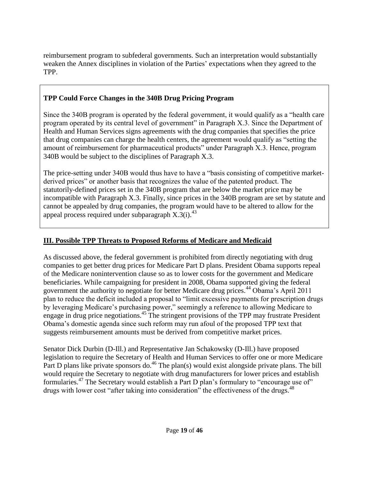reimbursement program to subfederal governments. Such an interpretation would substantially weaken the Annex disciplines in violation of the Parties' expectations when they agreed to the TPP.

## **TPP Could Force Changes in the 340B Drug Pricing Program**

Since the 340B program is operated by the federal government, it would qualify as a "health care program operated by its central level of government" in Paragraph X.3. Since the Department of Health and Human Services signs agreements with the drug companies that specifies the price that drug companies can charge the health centers, the agreement would qualify as "setting the amount of reimbursement for pharmaceutical products" under Paragraph X.3. Hence, program 340B would be subject to the disciplines of Paragraph X.3.

The price-setting under 340B would thus have to have a "basis consisting of competitive marketderived prices" or another basis that recognizes the value of the patented product. The statutorily-defined prices set in the 340B program that are below the market price may be incompatible with Paragraph X.3. Finally, since prices in the 340B program are set by statute and cannot be appealed by drug companies, the program would have to be altered to allow for the appeal process required under subparagraph  $X.3(i)$ .<sup>43</sup>

## **III. Possible TPP Threats to Proposed Reforms of Medicare and Medicaid**

As discussed above, the federal government is prohibited from directly negotiating with drug companies to get better drug prices for Medicare Part D plans. President Obama supports repeal of the Medicare nonintervention clause so as to lower costs for the government and Medicare beneficiaries. While campaigning for president in 2008, Obama supported giving the federal government the authority to negotiate for better Medicare drug prices.<sup>44</sup> Obama's April 2011 plan to reduce the deficit included a proposal to "limit excessive payments for prescription drugs by leveraging Medicare's purchasing power," seemingly a reference to allowing Medicare to engage in drug price negotiations.<sup>45</sup> The stringent provisions of the TPP may frustrate President Obama's domestic agenda since such reform may run afoul of the proposed TPP text that suggests reimbursement amounts must be derived from competitive market prices.

Senator Dick Durbin (D-Ill.) and Representative Jan Schakowsky (D-Ill.) have proposed legislation to require the Secretary of Health and Human Services to offer one or more Medicare Part D plans like private sponsors do.<sup>46</sup> The plan(s) would exist alongside private plans. The bill would require the Secretary to negotiate with drug manufacturers for lower prices and establish formularies.<sup>47</sup> The Secretary would establish a Part D plan's formulary to "encourage use of" drugs with lower cost "after taking into consideration" the effectiveness of the drugs.<sup>48</sup>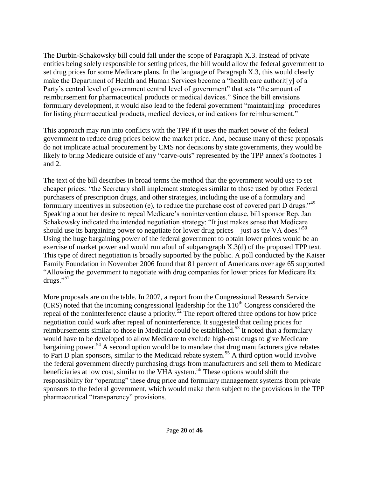The Durbin-Schakowsky bill could fall under the scope of Paragraph X.3. Instead of private entities being solely responsible for setting prices, the bill would allow the federal government to set drug prices for some Medicare plans. In the language of Paragraph X.3, this would clearly make the Department of Health and Human Services become a "health care authorit[y] of a Party's central level of government central level of government" that sets "the amount of reimbursement for pharmaceutical products or medical devices." Since the bill envisions formulary development, it would also lead to the federal government "maintain[ing] procedures for listing pharmaceutical products, medical devices, or indications for reimbursement."

This approach may run into conflicts with the TPP if it uses the market power of the federal government to reduce drug prices below the market price. And, because many of these proposals do not implicate actual procurement by CMS nor decisions by state governments, they would be likely to bring Medicare outside of any "carve-outs" represented by the TPP annex's footnotes 1 and 2.

The text of the bill describes in broad terms the method that the government would use to set cheaper prices: "the Secretary shall implement strategies similar to those used by other Federal purchasers of prescription drugs, and other strategies, including the use of a formulary and formulary incentives in subsection (e), to reduce the purchase cost of covered part D drugs."<sup>49</sup> Speaking about her desire to repeal Medicare's nonintervention clause, bill sponsor Rep. Jan Schakowsky indicated the intended negotiation strategy: "It just makes sense that Medicare should use its bargaining power to negotiate for lower drug prices – just as the VA does."<sup>50</sup> Using the huge bargaining power of the federal government to obtain lower prices would be an exercise of market power and would run afoul of subparagraph X.3(d) of the proposed TPP text. This type of direct negotiation is broadly supported by the public. A poll conducted by the Kaiser Family Foundation in November 2006 found that 81 percent of Americans over age 65 supported "Allowing the government to negotiate with drug companies for lower prices for Medicare Rx drugs." $51$ 

More proposals are on the table. In 2007, a report from the Congressional Research Service  $(CRS)$  noted that the incoming congressional leadership for the  $110<sup>th</sup>$  Congress considered the repeal of the noninterference clause a priority.<sup>52</sup> The report offered three options for how price negotiation could work after repeal of noninterference. It suggested that ceiling prices for reimbursements similar to those in Medicaid could be established.<sup>53</sup> It noted that a formulary would have to be developed to allow Medicare to exclude high-cost drugs to give Medicare bargaining power.<sup>54</sup> A second option would be to mandate that drug manufacturers give rebates to Part D plan sponsors, similar to the Medicaid rebate system.<sup>55</sup> A third option would involve the federal government directly purchasing drugs from manufacturers and sell them to Medicare beneficiaries at low cost, similar to the VHA system.<sup>56</sup> These options would shift the responsibility for "operating" these drug price and formulary management systems from private sponsors to the federal government, which would make them subject to the provisions in the TPP pharmaceutical "transparency" provisions.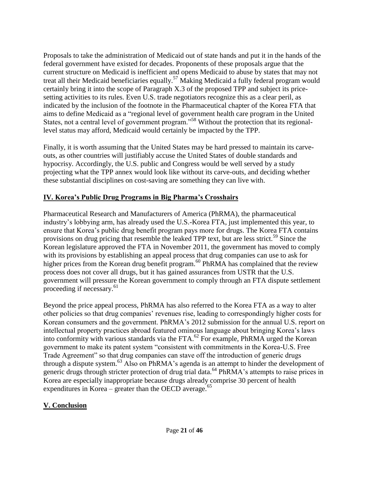Proposals to take the administration of Medicaid out of state hands and put it in the hands of the federal government have existed for decades. Proponents of these proposals argue that the current structure on Medicaid is inefficient and opens Medicaid to abuse by states that may not treat all their Medicaid beneficiaries equally.<sup>57</sup> Making Medicaid a fully federal program would certainly bring it into the scope of Paragraph X.3 of the proposed TPP and subject its pricesetting activities to its rules. Even U.S. trade negotiators recognize this as a clear peril, as indicated by the inclusion of the footnote in the Pharmaceutical chapter of the Korea FTA that aims to define Medicaid as a "regional level of government health care program in the United States, not a central level of government program.<sup>58</sup> Without the protection that its regionallevel status may afford, Medicaid would certainly be impacted by the TPP.

Finally, it is worth assuming that the United States may be hard pressed to maintain its carveouts, as other countries will justifiably accuse the United States of double standards and hypocrisy. Accordingly, the U.S. public and Congress would be well served by a study projecting what the TPP annex would look like without its carve-outs, and deciding whether these substantial disciplines on cost-saving are something they can live with.

## **IV. Korea's Public Drug Programs in Big Pharma's Crosshairs**

Pharmaceutical Research and Manufacturers of America (PhRMA), the pharmaceutical industry's lobbying arm, has already used the U.S.-Korea FTA, just implemented this year, to ensure that Korea's public drug benefit program pays more for drugs. The Korea FTA contains provisions on drug pricing that resemble the leaked TPP text, but are less strict.<sup>59</sup> Since the Korean legislature approved the FTA in November 2011, the government has moved to comply with its provisions by establishing an appeal process that drug companies can use to ask for higher prices from the Korean drug benefit program.<sup>60</sup> PhRMA has complained that the review process does not cover all drugs, but it has gained assurances from USTR that the U.S. government will pressure the Korean government to comply through an FTA dispute settlement proceeding if necessary.<sup>61</sup>

Beyond the price appeal process, PhRMA has also referred to the Korea FTA as a way to alter other policies so that drug companies' revenues rise, leading to correspondingly higher costs for Korean consumers and the government. PhRMA's 2012 submission for the annual U.S. report on intellectual property practices abroad featured ominous language about bringing Korea's laws into conformity with various standards via the FTA. $^{62}$  For example, PhRMA urged the Korean government to make its patent system "consistent with commitments in the Korea-U.S. Free Trade Agreement" so that drug companies can stave off the introduction of generic drugs through a dispute system.<sup>63</sup> Also on PhRMA's agenda is an attempt to hinder the development of generic drugs through stricter protection of drug trial data.<sup>64</sup> PhRMA's attempts to raise prices in Korea are especially inappropriate because drugs already comprise 30 percent of health expenditures in Korea – greater than the OECD average. $65$ 

## **V. Conclusion**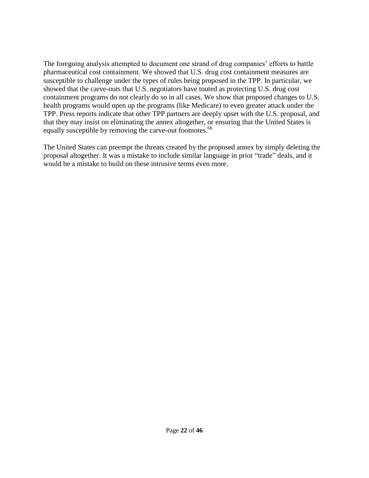The foregoing analysis attempted to document one strand of drug companies' efforts to battle pharmaceutical cost containment. We showed that U.S. drug cost containment measures are susceptible to challenge under the types of rules being proposed in the TPP. In particular, we showed that the carve-outs that U.S. negotiators have touted as protecting U.S. drug cost containment programs do not clearly do so in all cases. We show that proposed changes to U.S. health programs would open up the programs (like Medicare) to even greater attack under the TPP. Press reports indicate that other TPP partners are deeply upset with the U.S. proposal, and that they may insist on eliminating the annex altogether, or ensuring that the United States is equally susceptible by removing the carve-out footnotes.<sup>66</sup>

The United States can preempt the threats created by the proposed annex by simply deleting the proposal altogether. It was a mistake to include similar language in prior "trade" deals, and it would be a mistake to build on these intrusive terms even more.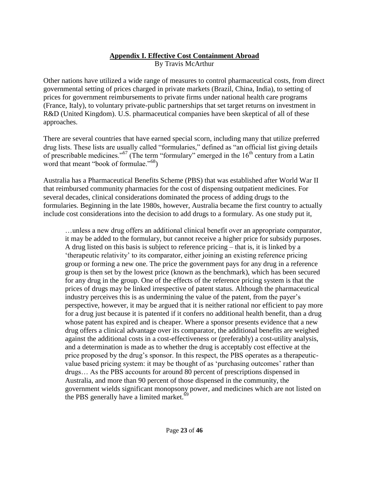#### **Appendix I. Effective Cost Containment Abroad** By Travis McArthur

Other nations have utilized a wide range of measures to control pharmaceutical costs, from direct governmental setting of prices charged in private markets (Brazil, China, India), to setting of prices for government reimbursements to private firms under national health care programs (France, Italy), to voluntary private-public partnerships that set target returns on investment in R&D (United Kingdom). U.S. pharmaceutical companies have been skeptical of all of these approaches.

There are several countries that have earned special scorn, including many that utilize preferred drug lists. These lists are usually called "formularies," defined as "an official list giving details of prescribable medicines."<sup>67</sup> (The term "formulary" emerged in the  $16<sup>th</sup>$  century from a Latin word that meant "book of formulae."<sup>68</sup>)

Australia has a Pharmaceutical Benefits Scheme (PBS) that was established after World War II that reimbursed community pharmacies for the cost of dispensing outpatient medicines. For several decades, clinical considerations dominated the process of adding drugs to the formularies. Beginning in the late 1980s, however, Australia became the first country to actually include cost considerations into the decision to add drugs to a formulary. As one study put it,

…unless a new drug offers an additional clinical benefit over an appropriate comparator, it may be added to the formulary, but cannot receive a higher price for subsidy purposes. A drug listed on this basis is subject to reference pricing – that is, it is linked by a 'therapeutic relativity' to its comparator, either joining an existing reference pricing group or forming a new one. The price the government pays for any drug in a reference group is then set by the lowest price (known as the benchmark), which has been secured for any drug in the group. One of the effects of the reference pricing system is that the prices of drugs may be linked irrespective of patent status. Although the pharmaceutical industry perceives this is as undermining the value of the patent, from the payer's perspective, however, it may be argued that it is neither rational nor efficient to pay more for a drug just because it is patented if it confers no additional health benefit, than a drug whose patent has expired and is cheaper. Where a sponsor presents evidence that a new drug offers a clinical advantage over its comparator, the additional benefits are weighed against the additional costs in a cost-effectiveness or (preferably) a cost-utility analysis, and a determination is made as to whether the drug is acceptably cost effective at the price proposed by the drug's sponsor. In this respect, the PBS operates as a therapeuticvalue based pricing system: it may be thought of as 'purchasing outcomes' rather than drugs… As the PBS accounts for around 80 percent of prescriptions dispensed in Australia, and more than 90 percent of those dispensed in the community, the government wields significant monopsony power, and medicines which are not listed on the PBS generally have a limited market. $69$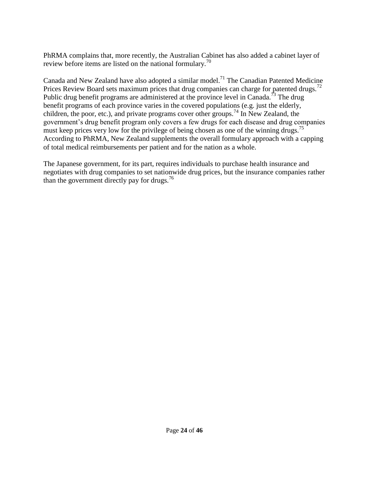PhRMA complains that, more recently, the Australian Cabinet has also added a cabinet layer of review before items are listed on the national formulary.<sup>70</sup>

Canada and New Zealand have also adopted a similar model.<sup>71</sup> The Canadian Patented Medicine Prices Review Board sets maximum prices that drug companies can charge for patented drugs.<sup>72</sup> Public drug benefit programs are administered at the province level in Canada.<sup>73</sup> The drug benefit programs of each province varies in the covered populations (e.g. just the elderly, children, the poor, etc.), and private programs cover other groups.<sup>74</sup> In New Zealand, the government's drug benefit program only covers a few drugs for each disease and drug companies must keep prices very low for the privilege of being chosen as one of the winning drugs.<sup>75</sup> According to PhRMA, New Zealand supplements the overall formulary approach with a capping of total medical reimbursements per patient and for the nation as a whole.

The Japanese government, for its part, requires individuals to purchase health insurance and negotiates with drug companies to set nationwide drug prices, but the insurance companies rather than the government directly pay for drugs.<sup>76</sup>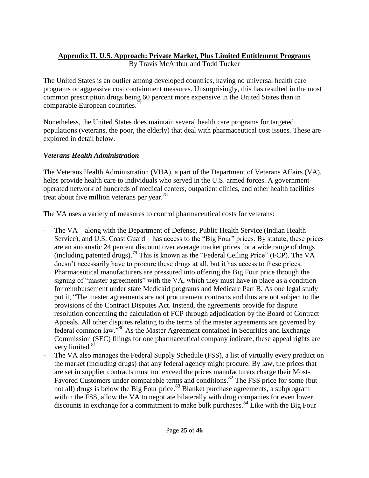#### **Appendix II. U.S. Approach: Private Market, Plus Limited Entitlement Programs** By Travis McArthur and Todd Tucker

The United States is an outlier among developed countries, having no universal health care programs or aggressive cost containment measures. Unsurprisingly, this has resulted in the most common prescription drugs being 60 percent more expensive in the United States than in comparable European countries.<sup>7</sup>

Nonetheless, the United States does maintain several health care programs for targeted populations (veterans, the poor, the elderly) that deal with pharmaceutical cost issues. These are explored in detail below.

#### *Veterans Health Administration*

The Veterans Health Administration (VHA), a part of the Department of Veterans Affairs (VA), helps provide health care to individuals who served in the U.S. armed forces. A governmentoperated network of hundreds of medical centers, outpatient clinics, and other health facilities treat about five million veterans per year.<sup>78</sup>

The VA uses a variety of measures to control pharmaceutical costs for veterans:

- The VA along with the Department of Defense, Public Health Service (Indian Health Service), and U.S. Coast Guard – has access to the "Big Four" prices. By statute, these prices are an automatic 24 percent discount over average market prices for a wide range of drugs (including patented drugs).<sup>79</sup> This is known as the "Federal Ceiling Price" (FCP). The VA doesn't necessarily have to procure these drugs at all, but it has access to these prices. Pharmaceutical manufacturers are pressured into offering the Big Four price through the signing of "master agreements" with the VA, which they must have in place as a condition for reimbursement under state Medicaid programs and Medicare Part B. As one legal study put it, "The master agreements are not procurement contracts and thus are not subject to the provisions of the Contract Disputes Act. Instead, the agreements provide for dispute resolution concerning the calculation of FCP through adjudication by the Board of Contract Appeals. All other disputes relating to the terms of the master agreements are governed by federal common law."<sup>80</sup> As the Master Agreement contained in Securities and Exchange Commission (SEC) filings for one pharmaceutical company indicate, these appeal rights are very limited. $81$
- The VA also manages the Federal Supply Schedule (FSS), a list of virtually every product on the market (including drugs) that any federal agency might procure. By law, the prices that are set in supplier contracts must not exceed the prices manufacturers charge their Most-Favored Customers under comparable terms and conditions.<sup>82</sup> The FSS price for some (but not all) drugs is below the Big Four price.<sup>83</sup> Blanket purchase agreements, a subprogram within the FSS, allow the VA to negotiate bilaterally with drug companies for even lower discounts in exchange for a commitment to make bulk purchases.<sup>84</sup> Like with the Big Four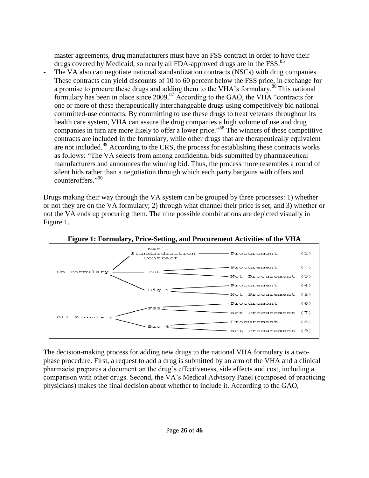master agreements, drug manufacturers must have an FSS contract in order to have their drugs covered by Medicaid, so nearly all FDA-approved drugs are in the FSS.<sup>85</sup>

The VA also can negotiate national standardization contracts (NSCs) with drug companies. These contracts can yield discounts of 10 to 60 percent below the FSS price, in exchange for a promise to procure these drugs and adding them to the VHA's formulary.<sup>86</sup> This national formulary has been in place since  $2009$ <sup>87</sup> According to the GAO, the VHA "contracts for one or more of these therapeutically interchangeable drugs using competitively bid national committed-use contracts. By committing to use these drugs to treat veterans throughout its health care system, VHA can assure the drug companies a high volume of use and drug companies in turn are more likely to offer a lower price."<sup>88</sup> The winners of these competitive contracts are included in the formulary, while other drugs that are therapeutically equivalent are not included.<sup>89</sup> According to the CRS, the process for establishing these contracts works as follows: "The VA selects from among confidential bids submitted by pharmaceutical manufacturers and announces the winning bid. Thus, the process more resembles a round of silent bids rather than a negotiation through which each party bargains with offers and counteroffers<sup>"90</sup>

Drugs making their way through the VA system can be grouped by three processes: 1) whether or not they are on the VA formulary; 2) through what channel their price is set; and 3) whether or not the VA ends up procuring them. The nine possible combinations are depicted visually in Figure 1.



**Figure 1: Formulary, Price-Setting, and Procurement Activities of the VHA**

The decision-making process for adding new drugs to the national VHA formulary is a twophase procedure. First, a request to add a drug is submitted by an arm of the VHA and a clinical pharmacist prepares a document on the drug's effectiveness, side effects and cost, including a comparison with other drugs. Second, the VA's Medical Advisory Panel (composed of practicing physicians) makes the final decision about whether to include it. According to the GAO,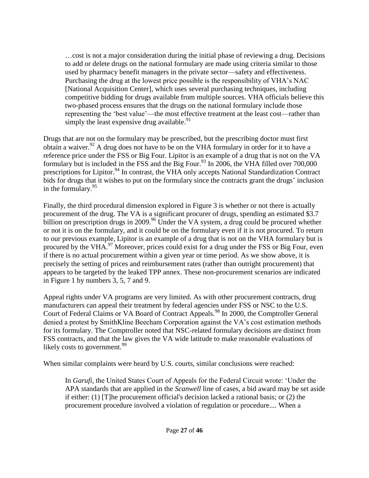…cost is not a major consideration during the initial phase of reviewing a drug. Decisions to add or delete drugs on the national formulary are made using criteria similar to those used by pharmacy benefit managers in the private sector—safety and effectiveness. Purchasing the drug at the lowest price possible is the responsibility of VHA's NAC [National Acquisition Center], which uses several purchasing techniques, including competitive bidding for drugs available from multiple sources. VHA officials believe this two-phased process ensures that the drugs on the national formulary include those representing the 'best value'—the most effective treatment at the least cost—rather than simply the least expensive drug available.  $91$ 

Drugs that are not on the formulary may be prescribed, but the prescribing doctor must first obtain a waiver.<sup>92</sup> A drug does not have to be on the VHA formulary in order for it to have a reference price under the FSS or Big Four. Lipitor is an example of a drug that is not on the VA formulary but is included in the FSS and the Big Four.<sup>93</sup> In 2006, the VHA filled over 700,000 prescriptions for Lipitor.<sup>94</sup> In contrast, the VHA only accepts National Standardization Contract bids for drugs that it wishes to put on the formulary since the contracts grant the drugs' inclusion in the formulary.<sup>95</sup>

Finally, the third procedural dimension explored in Figure 3 is whether or not there is actually procurement of the drug. The VA is a significant procurer of drugs, spending an estimated \$3.7 billion on prescription drugs in 2009.<sup>96</sup> Under the VA system, a drug could be procured whether or not it is on the formulary, and it could be on the formulary even if it is not procured. To return to our previous example, Lipitor is an example of a drug that is not on the VHA formulary but is procured by the VHA.<sup>97</sup> Moreover, prices could exist for a drug under the FSS or Big Four, even if there is no actual procurement within a given year or time period. As we show above, it is precisely the setting of prices and reimbursement rates (rather than outright procurement) that appears to be targeted by the leaked TPP annex. These non-procurement scenarios are indicated in Figure 1 by numbers 3, 5, 7 and 9.

Appeal rights under VA programs are very limited. As with other procurement contracts, drug manufacturers can appeal their treatment by federal agencies under FSS or NSC to the U.S. Court of Federal Claims or VA Board of Contract Appeals.<sup>98</sup> In 2000, the Comptroller General denied a protest by SmithKline Beecham Corporation against the VA's cost estimation methods for its formulary. The Comptroller noted that NSC-related formulary decisions are distinct from FSS contracts, and that the law gives the VA wide latitude to make reasonable evaluations of likely costs to government.<sup>99</sup>

When similar complaints were heard by U.S. courts, similar conclusions were reached:

In *Garufi,* the United States Court of Appeals for the Federal Circuit wrote: 'Under the APA standards that are applied in the *Scanwell* line of cases, a bid award may be set aside if either: (1) [T]he procurement official's decision lacked a rational basis; or (2) the procurement procedure involved a violation of regulation or procedure.... When a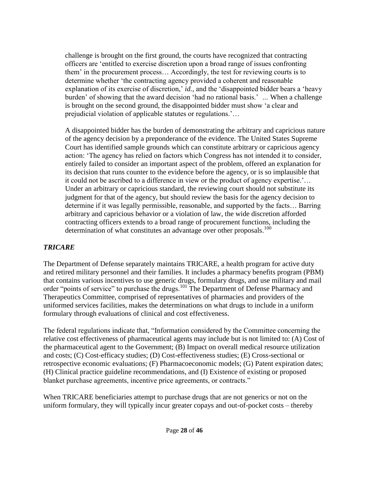challenge is brought on the first ground, the courts have recognized that contracting officers are 'entitled to exercise discretion upon a broad range of issues confronting them' in the procurement process… Accordingly, the test for reviewing courts is to determine whether 'the contracting agency provided a coherent and reasonable explanation of its exercise of discretion,' *id.*, and the 'disappointed bidder bears a 'heavy burden' of showing that the award decision 'had no rational basis.' *…* When a challenge is brought on the second ground, the disappointed bidder must show 'a clear and prejudicial violation of applicable statutes or regulations.'…

A disappointed bidder has the burden of demonstrating the arbitrary and capricious nature of the agency decision by a preponderance of the evidence. The United States Supreme Court has identified sample grounds which can constitute arbitrary or capricious agency action: 'The agency has relied on factors which Congress has not intended it to consider, entirely failed to consider an important aspect of the problem, offered an explanation for its decision that runs counter to the evidence before the agency, or is so implausible that it could not be ascribed to a difference in view or the product of agency expertise.'… Under an arbitrary or capricious standard, the reviewing court should not substitute its judgment for that of the agency, but should review the basis for the agency decision to determine if it was legally permissible, reasonable, and supported by the facts… Barring arbitrary and capricious behavior or a violation of law, the wide discretion afforded contracting officers extends to a broad range of procurement functions, including the determination of what constitutes an advantage over other proposals.<sup>100</sup>

## *TRICARE*

The Department of Defense separately maintains TRICARE, a health program for active duty and retired military personnel and their families. It includes a pharmacy benefits program (PBM) that contains various incentives to use generic drugs, formulary drugs, and use military and mail order "points of service" to purchase the drugs.<sup>101</sup> The Department of Defense Pharmacy and Therapeutics Committee, comprised of representatives of pharmacies and providers of the uniformed services facilities, makes the determinations on what drugs to include in a uniform formulary through evaluations of clinical and cost effectiveness.

The federal regulations indicate that, "Information considered by the Committee concerning the relative cost effectiveness of pharmaceutical agents may include but is not limited to: (A) Cost of the pharmaceutical agent to the Government; (B) Impact on overall medical resource utilization and costs; (C) Cost-efficacy studies; (D) Cost-effectiveness studies; (E) Cross-sectional or retrospective economic evaluations; (F) Pharmacoeconomic models; (G) Patent expiration dates; (H) Clinical practice guideline recommendations, and (I) Existence of existing or proposed blanket purchase agreements, incentive price agreements, or contracts."

When TRICARE beneficiaries attempt to purchase drugs that are not generics or not on the uniform formulary, they will typically incur greater copays and out-of-pocket costs – thereby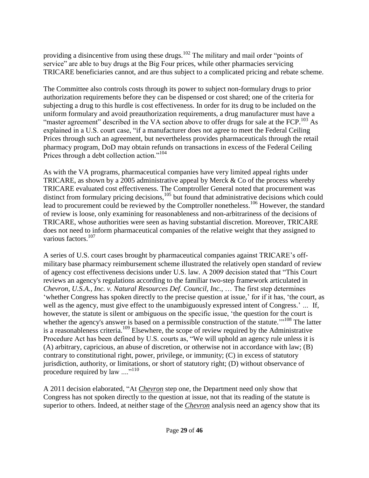providing a disincentive from using these drugs.<sup>102</sup> The military and mail order "points of service" are able to buy drugs at the Big Four prices, while other pharmacies servicing TRICARE beneficiaries cannot, and are thus subject to a complicated pricing and rebate scheme.

The Committee also controls costs through its power to subject non-formulary drugs to prior authorization requirements before they can be dispensed or cost shared; one of the criteria for subjecting a drug to this hurdle is cost effectiveness. In order for its drug to be included on the uniform formulary and avoid preauthorization requirements, a drug manufacturer must have a "master agreement" described in the VA section above to offer drugs for sale at the FCP.<sup>103</sup> As explained in a U.S. court case, "if a manufacturer does not agree to meet the Federal Ceiling Prices through such an agreement, but nevertheless provides pharmaceuticals through the retail pharmacy program, DoD may obtain refunds on transactions in excess of the Federal Ceiling Prices through a debt collection action."<sup>104</sup>

As with the VA programs, pharmaceutical companies have very limited appeal rights under TRICARE, as shown by a 2005 administrative appeal by Merck & Co of the process whereby TRICARE evaluated cost effectiveness. The Comptroller General noted that procurement was distinct from formulary pricing decisions,<sup>105</sup> but found that administrative decisions which could lead to procurement could be reviewed by the Comptroller nonetheless.<sup>106</sup> However, the standard of review is loose, only examining for reasonableness and non-arbitrariness of the decisions of TRICARE, whose authorities were seen as having substantial discretion. Moreover, TRICARE does not need to inform pharmaceutical companies of the relative weight that they assigned to various factors.<sup>107</sup>

A series of U.S. court cases brought by pharmaceutical companies against TRICARE's offmilitary base pharmacy reimbursement scheme illustrated the relatively open standard of review of agency cost effectiveness decisions under U.S. law. A 2009 decision stated that "This Court reviews an agency's regulations according to the familiar two-step framework articulated in *Chevron, U.S.A., Inc. v. Natural Resources Def. Council, Inc.,* … The first step determines 'whether Congress has spoken directly to the precise question at issue,' for if it has, 'the court, as well as the agency, must give effect to the unambiguously expressed intent of Congress.' *…* If, however, the statute is silent or ambiguous on the specific issue, 'the question for the court is whether the agency's answer is based on a permissible construction of the statute.'"<sup>108</sup> The latter is a reasonableness criteria.<sup>109</sup> Elsewhere, the scope of review required by the Administrative Procedure Act has been defined by U.S. courts as, "We will uphold an agency rule unless it is (A) arbitrary, capricious, an abuse of discretion, or otherwise not in accordance with law; (B) contrary to constitutional right, power, privilege, or immunity; (C) in excess of statutory jurisdiction, authority, or limitations, or short of statutory right; (D) without observance of procedure required by law ...."<sup>110</sup>

A 2011 decision elaborated, "At *[Chevron](https://a.next.westlaw.com/Link/Document/FullText?findType=Y&serNum=1984130736&originationContext=document&transitionType=DocumentItem&contextData=%28sc.Search%29)* step one, the Department need only show that Congress has not spoken directly to the question at issue, not that its reading of the statute is superior to others. Indeed, at neither stage of the *[Chevron](https://a.next.westlaw.com/Link/Document/FullText?findType=Y&serNum=1984130736&originationContext=document&transitionType=DocumentItem&contextData=%28sc.Search%29)* analysis need an agency show that its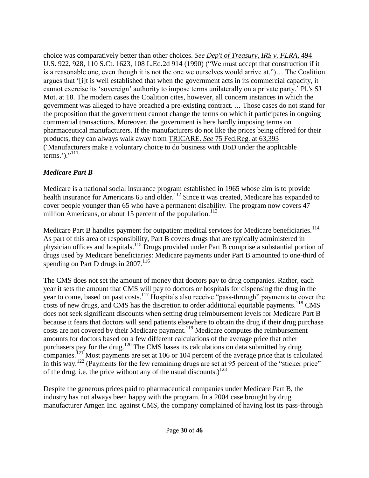choice was comparatively better than other choices. *See [Dep't of Treasury, IRS v. FLRA,](https://a.next.westlaw.com/Link/Document/FullText?findType=Y&serNum=1990064133&pubNum=708&originationContext=document&transitionType=DocumentItem&contextData=%28sc.Search%29)* 494 [U.S. 922, 928, 110 S.Ct. 1623, 108 L.Ed.2d 914 \(1990\)](https://a.next.westlaw.com/Link/Document/FullText?findType=Y&serNum=1990064133&pubNum=708&originationContext=document&transitionType=DocumentItem&contextData=%28sc.Search%29) ("We must accept that construction if it is a reasonable one, even though it is not the one we ourselves would arrive at.")… The Coalition argues that '[i]t is well established that when the government acts in its commercial capacity, it cannot exercise its 'sovereign' authority to impose terms unilaterally on a private party.' Pl.'s SJ Mot. at 18. The modern cases the Coalition cites, however, all concern instances in which the government was alleged to have breached a pre-existing contract. *…* Those cases do not stand for the proposition that the government cannot change the terms on which it participates in ongoing commercial transactions. Moreover, the government is here hardly imposing terms on pharmaceutical manufacturers. If the manufacturers do not like the prices being offered for their products, they can always walk away from TRICARE. *See* [75 Fed.Reg. at 63,393](https://a.next.westlaw.com/Link/Document/FullText?findType=Y&serNum=0355530058&pubNum=1037&originationContext=document&transitionType=DocumentItem&contextData=%28sc.Search%29#co_pp_sp_1037_63393) ('Manufacturers make a voluntary choice to do business with DoD under the applicable terms.')." $^{111}$ 

## *Medicare Part B*

Medicare is a national social insurance program established in 1965 whose aim is to provide health insurance for Americans 65 and older.<sup>112</sup> Since it was created, Medicare has expanded to cover people younger than 65 who have a permanent disability. The program now covers 47 million Americans, or about 15 percent of the population.<sup>113</sup>

Medicare Part B handles payment for outpatient medical services for Medicare beneficiaries.<sup>114</sup> As part of this area of responsibility, Part B covers drugs that are typically administered in physician offices and hospitals.<sup>115</sup> Drugs provided under Part B comprise a substantial portion of drugs used by Medicare beneficiaries: Medicare payments under Part B amounted to one-third of spending on Part D drugs in  $2007$ <sup>116</sup>

The CMS does not set the amount of money that doctors pay to drug companies. Rather, each year it sets the amount that CMS will pay to doctors or hospitals for dispensing the drug in the year to come, based on past costs.<sup>117</sup> Hospitals also receive "pass-through" payments to cover the costs of new drugs, and CMS has the discretion to order additional equitable payments.<sup>118</sup> CMS does not seek significant discounts when setting drug reimbursement levels for Medicare Part B because it fears that doctors will send patients elsewhere to obtain the drug if their drug purchase costs are not covered by their Medicare payment.<sup>119</sup> Medicare computes the reimbursement amounts for doctors based on a few different calculations of the average price that other purchasers pay for the drug.<sup>120</sup> The CMS bases its calculations on data submitted by drug companies.<sup>121</sup> Most payments are set at 106 or 104 percent of the average price that is calculated in this way.<sup>122</sup> (Payments for the few remaining drugs are set at 95 percent of the "sticker price" of the drug, i.e. the price without any of the usual discounts.)<sup>123</sup>

Despite the generous prices paid to pharmaceutical companies under Medicare Part B, the industry has not always been happy with the program. In a 2004 case brought by drug manufacturer Amgen Inc. against CMS, the company complained of having lost its pass-through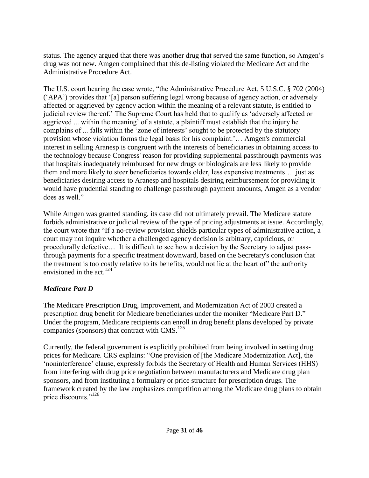status. The agency argued that there was another drug that served the same function, so Amgen's drug was not new. Amgen complained that this de-listing violated the Medicare Act and the Administrative Procedure Act.

The U.S. court hearing the case wrote, "the Administrative Procedure Act, 5 U.S.C. § 702 (2004) ('APA') provides that '[a] person suffering legal wrong because of agency action, or adversely affected or aggrieved by agency action within the meaning of a relevant statute, is entitled to judicial review thereof.' The Supreme Court has held that to qualify as 'adversely affected or aggrieved ... within the meaning' of a statute, a plaintiff must establish that the injury he complains of ... falls within the 'zone of interests' sought to be protected by the statutory provision whose violation forms the legal basis for his complaint.'… Amgen's commercial interest in selling Aranesp is congruent with the interests of beneficiaries in obtaining access to the technology because Congress' reason for providing supplemental passthrough payments was that hospitals inadequately reimbursed for new drugs or biologicals are less likely to provide them and more likely to steer beneficiaries towards older, less expensive treatments…. just as beneficiaries desiring access to Aranesp and hospitals desiring reimbursement for providing it would have prudential standing to challenge passthrough payment amounts, Amgen as a vendor does as well."

While Amgen was granted standing, its case did not ultimately prevail. The Medicare statute forbids administrative or judicial review of the type of pricing adjustments at issue. Accordingly, the court wrote that "If a no-review provision shields particular types of administrative action, a court may not inquire whether a challenged agency decision is arbitrary, capricious, or procedurally defective… It is difficult to see how a decision by the Secretary to adjust passthrough payments for a specific treatment downward, based on the Secretary's conclusion that the treatment is too costly relative to its benefits, would not lie at the heart of" the authority envisioned in the act.  $124$ 

## *Medicare Part D*

The Medicare Prescription Drug, Improvement, and Modernization Act of 2003 created a prescription drug benefit for Medicare beneficiaries under the moniker "Medicare Part D." Under the program, Medicare recipients can enroll in drug benefit plans developed by private companies (sponsors) that contract with  $CMS<sup>125</sup>$ 

Currently, the federal government is explicitly prohibited from being involved in setting drug prices for Medicare. CRS explains: "One provision of [the Medicare Modernization Act], the 'noninterference' clause, expressly forbids the Secretary of Health and Human Services (HHS) from interfering with drug price negotiation between manufacturers and Medicare drug plan sponsors, and from instituting a formulary or price structure for prescription drugs. The framework created by the law emphasizes competition among the Medicare drug plans to obtain price discounts."<sup>126</sup>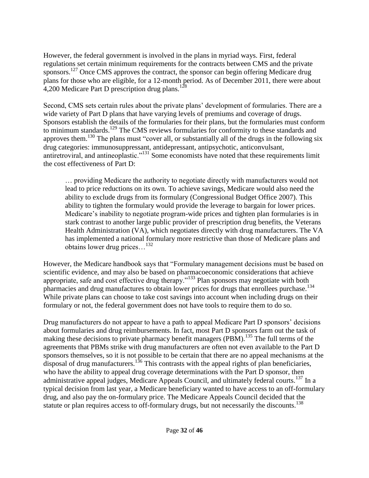However, the federal government is involved in the plans in myriad ways. First, federal regulations set certain minimum requirements for the contracts between CMS and the private sponsors.<sup>127</sup> Once CMS approves the contract, the sponsor can begin offering Medicare drug plans for those who are eligible, for a 12-month period. As of December 2011, there were about 4,200 Medicare Part D prescription drug plans.<sup>128</sup>

Second, CMS sets certain rules about the private plans' development of formularies. There are a wide variety of Part D plans that have varying levels of premiums and coverage of drugs. Sponsors establish the details of the formularies for their plans, but the formularies must conform to minimum standards.<sup>129</sup> The CMS reviews formularies for conformity to these standards and approves them.<sup>130</sup> The plans must "cover all, or substantially all of the drugs in the following six drug categories: immunosuppressant, antidepressant, antipsychotic, anticonvulsant, antiretroviral, and antineoplastic."<sup>131</sup> Some economists have noted that these requirements limit the cost effectiveness of Part D:

… providing Medicare the authority to negotiate directly with manufacturers would not lead to price reductions on its own. To achieve savings, Medicare would also need the ability to exclude drugs from its formulary (Congressional Budget Office 2007). This ability to tighten the formulary would provide the leverage to bargain for lower prices. Medicare's inability to negotiate program-wide prices and tighten plan formularies is in stark contrast to another large public provider of prescription drug benefits, the Veterans Health Administration (VA), which negotiates directly with drug manufacturers. The VA has implemented a national formulary more restrictive than those of Medicare plans and obtains lower drug prices...<sup>132</sup>

However, the Medicare handbook says that "Formulary management decisions must be based on scientific evidence, and may also be based on pharmacoeconomic considerations that achieve appropriate, safe and cost effective drug therapy."<sup>133</sup> Plan sponsors may negotiate with both pharmacies and drug manufactures to obtain lower prices for drugs that enrollees purchase.<sup>134</sup> While private plans can choose to take cost savings into account when including drugs on their formulary or not, the federal government does not have tools to require them to do so.

Drug manufacturers do not appear to have a path to appeal Medicare Part D sponsors' decisions about formularies and drug reimbursements. In fact, most Part D sponsors farm out the task of making these decisions to private pharmacy benefit managers  $(PBM)$ <sup>135</sup>. The full terms of the agreements that PBMs strike with drug manufacturers are often not even available to the Part D sponsors themselves, so it is not possible to be certain that there are no appeal mechanisms at the disposal of drug manufacturers.<sup>136</sup> This contrasts with the appeal rights of plan beneficiaries, who have the ability to appeal drug coverage determinations with the Part D sponsor, then administrative appeal judges, Medicare Appeals Council, and ultimately federal courts.<sup>137</sup> In a typical decision from last year, a Medicare beneficiary wanted to have access to an off-formulary drug, and also pay the on-formulary price. The Medicare Appeals Council decided that the statute or plan requires access to off-formulary drugs, but not necessarily the discounts.<sup>138</sup>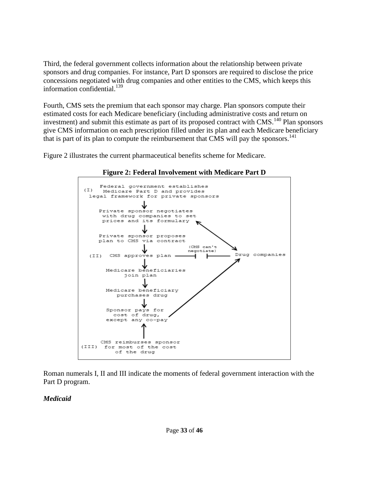Third, the federal government collects information about the relationship between private sponsors and drug companies. For instance, Part D sponsors are required to disclose the price concessions negotiated with drug companies and other entities to the CMS, which keeps this information confidential. $^{139}$ 

Fourth, CMS sets the premium that each sponsor may charge. Plan sponsors compute their estimated costs for each Medicare beneficiary (including administrative costs and return on investment) and submit this estimate as part of its proposed contract with CMS.<sup>140</sup> Plan sponsors give CMS information on each prescription filled under its plan and each Medicare beneficiary that is part of its plan to compute the reimbursement that CMS will pay the sponsors.<sup>141</sup>

Figure 2 illustrates the current pharmaceutical benefits scheme for Medicare.



**Figure 2: Federal Involvement with Medicare Part D**

Roman numerals I, II and III indicate the moments of federal government interaction with the Part D program.

*Medicaid*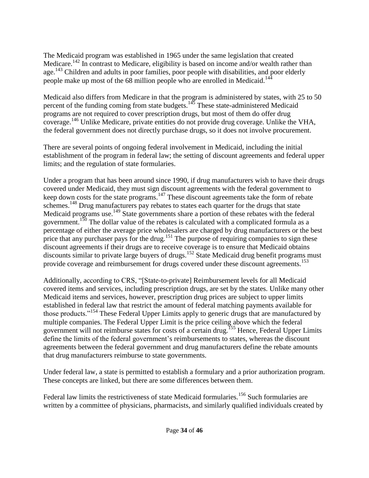The Medicaid program was established in 1965 under the same legislation that created Medicare.<sup>142</sup> In contrast to Medicare, eligibility is based on income and/or wealth rather than age.<sup>143</sup> Children and adults in poor families, poor people with disabilities, and poor elderly people make up most of the 68 million people who are enrolled in Medicaid.<sup>144</sup>

Medicaid also differs from Medicare in that the program is administered by states, with 25 to 50 percent of the funding coming from state budgets.<sup>145</sup> These state-administered Medicaid programs are not required to cover prescription drugs, but most of them do offer drug coverage.<sup>146</sup> Unlike Medicare, private entities do not provide drug coverage. Unlike the VHA, the federal government does not directly purchase drugs, so it does not involve procurement.

There are several points of ongoing federal involvement in Medicaid, including the initial establishment of the program in federal law; the setting of discount agreements and federal upper limits; and the regulation of state formularies.

Under a program that has been around since 1990, if drug manufacturers wish to have their drugs covered under Medicaid, they must sign discount agreements with the federal government to keep down costs for the state programs.<sup>147</sup> These discount agreements take the form of rebate schemes.<sup>148</sup> Drug manufacturers pay rebates to states each quarter for the drugs that state Medicaid programs use.<sup>149</sup> State governments share a portion of these rebates with the federal government.<sup>150</sup> The dollar value of the rebates is calculated with a complicated formula as a percentage of either the average price wholesalers are charged by drug manufacturers or the best price that any purchaser pays for the drug.<sup>151</sup> The purpose of requiring companies to sign these discount agreements if their drugs are to receive coverage is to ensure that Medicaid obtains discounts similar to private large buyers of drugs.<sup>152</sup> State Medicaid drug benefit programs must provide coverage and reimbursement for drugs covered under these discount agreements.<sup>153</sup>

Additionally, according to CRS, "[State-to-private] Reimbursement levels for all Medicaid covered items and services, including prescription drugs, are set by the states. Unlike many other Medicaid items and services, however, prescription drug prices are subject to upper limits established in federal law that restrict the amount of federal matching payments available for those products."<sup>154</sup> These Federal Upper Limits apply to generic drugs that are manufactured by multiple companies. The Federal Upper Limit is the price ceiling above which the federal government will not reimburse states for costs of a certain drug.<sup>155</sup> Hence, Federal Upper Limits define the limits of the federal government's reimbursements to states, whereas the discount agreements between the federal government and drug manufacturers define the rebate amounts that drug manufacturers reimburse to state governments.

Under federal law, a state is permitted to establish a formulary and a prior authorization program. These concepts are linked, but there are some differences between them.

Federal law limits the restrictiveness of state Medicaid formularies.<sup>156</sup> Such formularies are written by a committee of physicians, pharmacists, and similarly qualified individuals created by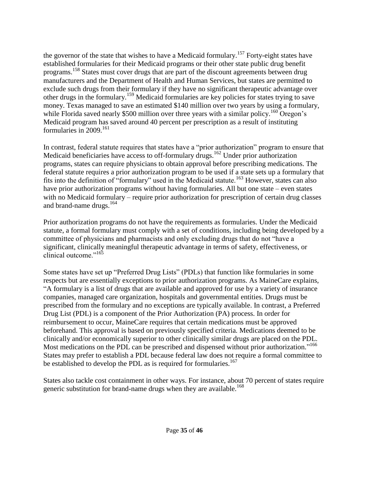the governor of the state that wishes to have a Medicaid formulary.<sup>157</sup> Forty-eight states have established formularies for their Medicaid programs or their other state public drug benefit programs.<sup>158</sup> States must cover drugs that are part of the discount agreements between drug manufacturers and the Department of Health and Human Services, but states are permitted to exclude such drugs from their formulary if they have no significant therapeutic advantage over other drugs in the formulary.<sup>159</sup> Medicaid formularies are key policies for states trying to save money. Texas managed to save an estimated \$140 million over two years by using a formulary, while Florida saved nearly \$500 million over three years with a similar policy.<sup>160</sup> Oregon's Medicaid program has saved around 40 percent per prescription as a result of instituting formularies in  $2009$ <sup>161</sup>

In contrast, federal statute requires that states have a "prior authorization" program to ensure that Medicaid beneficiaries have access to off-formulary drugs.<sup>162</sup> Under prior authorization programs, states can require physicians to obtain approval before prescribing medications. The federal statute requires a prior authorization program to be used if a state sets up a formulary that fits into the definition of "formulary" used in the Medicaid statute.<sup>163</sup> However, states can also have prior authorization programs without having formularies. All but one state – even states with no Medicaid formulary – require prior authorization for prescription of certain drug classes and brand-name drugs.<sup>164</sup>

Prior authorization programs do not have the requirements as formularies. Under the Medicaid statute, a formal formulary must comply with a set of conditions, including being developed by a committee of physicians and pharmacists and only excluding drugs that do not "have a significant, clinically meaningful therapeutic advantage in terms of safety, effectiveness, or clinical outcome."<sup>165</sup>

Some states have set up "Preferred Drug Lists" (PDLs) that function like formularies in some respects but are essentially exceptions to prior authorization programs. As MaineCare explains, "A formulary is a list of drugs that are available and approved for use by a variety of insurance companies, managed care organization, hospitals and governmental entities. Drugs must be prescribed from the formulary and no exceptions are typically available. In contrast, a Preferred Drug List (PDL) is a component of the Prior Authorization (PA) process. In order for reimbursement to occur, MaineCare requires that certain medications must be approved beforehand. This approval is based on previously specified criteria. Medications deemed to be clinically and/or economically superior to other clinically similar drugs are placed on the PDL. Most medications on the PDL can be prescribed and dispensed without prior authorization."<sup>166</sup> States may prefer to establish a PDL because federal law does not require a formal committee to be established to develop the PDL as is required for formularies.<sup>167</sup>

States also tackle cost containment in other ways. For instance, about 70 percent of states require generic substitution for brand-name drugs when they are available.<sup>168</sup>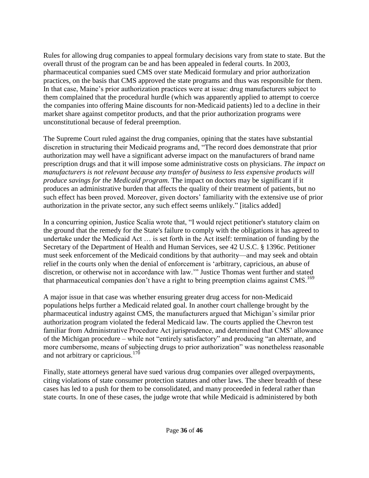Rules for allowing drug companies to appeal formulary decisions vary from state to state. But the overall thrust of the program can be and has been appealed in federal courts. In 2003, pharmaceutical companies sued CMS over state Medicaid formulary and prior authorization practices, on the basis that CMS approved the state programs and thus was responsible for them. In that case, Maine's prior authorization practices were at issue: drug manufacturers subject to them complained that the procedural hurdle (which was apparently applied to attempt to coerce the companies into offering Maine discounts for non-Medicaid patients) led to a decline in their market share against competitor products, and that the prior authorization programs were unconstitutional because of federal preemption.

The Supreme Court ruled against the drug companies, opining that the states have substantial discretion in structuring their Medicaid programs and, "The record does demonstrate that prior authorization may well have a significant adverse impact on the manufacturers of brand name prescription drugs and that it will impose some administrative costs on physicians. *The impact on manufacturers is not relevant because any transfer of business to less expensive products will produce savings for the Medicaid program.* The impact on doctors may be significant if it produces an administrative burden that affects the quality of their treatment of patients, but no such effect has been proved. Moreover, given doctors' familiarity with the extensive use of prior authorization in the private sector, any such effect seems unlikely." [italics added]

In a concurring opinion, Justice Scalia wrote that, "I would reject petitioner's statutory claim on the ground that the remedy for the State's failure to comply with the obligations it has agreed to undertake under the Medicaid Act … is set forth in the Act itself: termination of funding by the Secretary of the Department of Health and Human Services, see 42 U.S.C. § 1396c. Petitioner must seek enforcement of the Medicaid conditions by that authority—and may seek and obtain relief in the courts only when the denial of enforcement is 'arbitrary, capricious, an abuse of discretion, or otherwise not in accordance with law.'" Justice Thomas went further and stated that pharmaceutical companies don't have a right to bring preemption claims against CMS.<sup>169</sup>

A major issue in that case was whether ensuring greater drug access for non-Medicaid populations helps further a Medicaid related goal. In another court challenge brought by the pharmaceutical industry against CMS, the manufacturers argued that Michigan's similar prior authorization program violated the federal Medicaid law. The courts applied the Chevron test familiar from Administrative Procedure Act jurisprudence, and determined that CMS' allowance of the Michigan procedure – while not "entirely satisfactory" and producing "an alternate, and more cumbersome, means of subjecting drugs to prior authorization" was nonetheless reasonable and not arbitrary or capricious.<sup>170</sup>

Finally, state attorneys general have sued various drug companies over alleged overpayments, citing violations of state consumer protection statutes and other laws. The sheer breadth of these cases has led to a push for them to be consolidated, and many proceeded in federal rather than state courts. In one of these cases, the judge wrote that while Medicaid is administered by both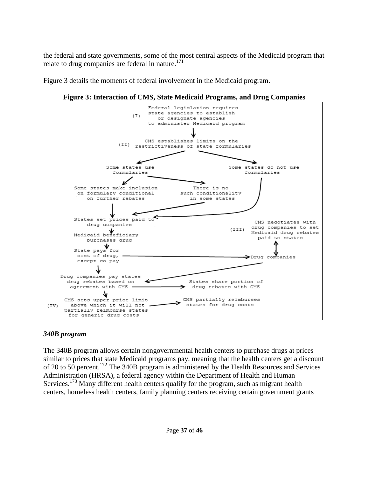the federal and state governments, some of the most central aspects of the Medicaid program that relate to drug companies are federal in nature.<sup>171</sup>

Figure 3 details the moments of federal involvement in the Medicaid program.





## *340B program*

The 340B program allows certain nongovernmental health centers to purchase drugs at prices similar to prices that state Medicaid programs pay, meaning that the health centers get a discount of 20 to 50 percent.<sup>172</sup> The 340B program is administered by the Health Resources and Services Administration (HRSA), a federal agency within the Department of Health and Human Services.<sup>173</sup> Many different health centers qualify for the program, such as migrant health centers, homeless health centers, family planning centers receiving certain government grants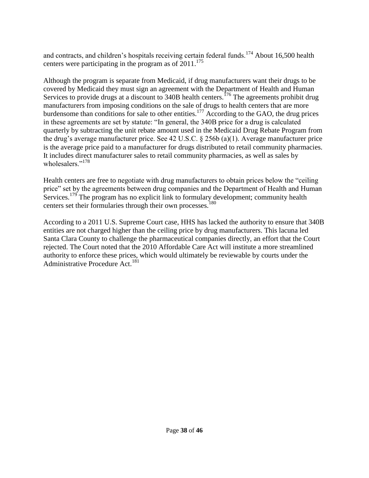and contracts, and children's hospitals receiving certain federal funds.<sup>174</sup> About 16,500 health centers were participating in the program as of  $2011$ <sup> $175$ </sup>

Although the program is separate from Medicaid, if drug manufacturers want their drugs to be covered by Medicaid they must sign an agreement with the Department of Health and Human Services to provide drugs at a discount to  $340B$  health centers.<sup>176</sup> The agreements prohibit drug manufacturers from imposing conditions on the sale of drugs to health centers that are more burdensome than conditions for sale to other entities.<sup>177</sup> According to the GAO, the drug prices in these agreements are set by statute: "In general, the 340B price for a drug is calculated quarterly by subtracting the unit rebate amount used in the Medicaid Drug Rebate Program from the drug's average manufacturer price. See 42 U.S.C. § 256b (a)(1). Average manufacturer price is the average price paid to a manufacturer for drugs distributed to retail community pharmacies. It includes direct manufacturer sales to retail community pharmacies, as well as sales by wholesalers<sup>"178</sup>

Health centers are free to negotiate with drug manufacturers to obtain prices below the "ceiling price" set by the agreements between drug companies and the Department of Health and Human Services.<sup>179</sup> The program has no explicit link to formulary development; community health centers set their formularies through their own processes.<sup>180</sup>

According to a 2011 U.S. Supreme Court case, HHS has lacked the authority to ensure that 340B entities are not charged higher than the ceiling price by drug manufacturers. This lacuna led Santa Clara County to challenge the pharmaceutical companies directly, an effort that the Court rejected. The Court noted that the 2010 Affordable Care Act will institute a more streamlined authority to enforce these prices, which would ultimately be reviewable by courts under the Administrative Procedure Act.<sup>181</sup>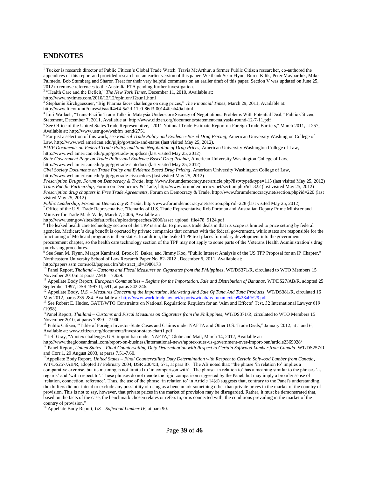#### **ENDNOTES**

 $\overline{a}$ <sup>1</sup> Tucker is research director of Public Citizen's Global Trade Watch. Travis McArthur, a former Public Citizen researcher, co-authored the appendices of this report and provided research on an earlier version of this paper. We thank Sean Flynn, Burcu Kilik, Peter Maybarduk, Mike Palmedo, Bob Stumberg and Sharon Treat for their very helpful comments on an earlier draft of this paper. Section V was updated on June 25,

2012 to remove references to the Australia FTA pending further investigation. 2 "Health Care and the Deficit," *The New York Times*, December 11, 2010, Available at:

http://www.nytimes.com/2010/12/12/opinion/12sun1.html

3 Stephanie Kirchgaessner, "Big Pharma faces challenge on drug prices," *The Financial Times*, March 29, 2011, Available at:

http://www.ft.com/intl/cms/s/0/aadf4ef4-5a2d-11e0-86d3-00144feab49a.html

<sup>4</sup> Lori Wallach, "Trans-Pacific Trade Talks in Malaysia Underscore Secrecy of Negotiations, Problems With Potential Deal," Public Citizen, Statement, December 7, 2011, Available at: http://www.citizen.org/documents/statement-malyasia-round-12-7-11.pdf

<sup>5</sup> See Office of the United States Trade Representative, "2011 National Trade Estimate Report on Foreign Trade Barriers," March 2011, at 257, Available at: http://www.ustr.gov/webfm\_send/2751

<sup>6</sup> For just a selection of this work, see *Federal Trade Policy and Evidence-Based Drug Pricing*, American University Washington College of Law, http://www.wcl.american.edu/pijip/go/trade-and-states (last visited May 25, 2012).

*PIJIP Documents on Federal Trade Policy and State Negotiation of Drug Prices*, American University Washington College of Law, http://www.wcl.american.edu/pijip/go/trade-pijipdocs (last visited May 25, 2012).

*State Government Page on Trade Policy and Evidence Based Drug Pricing*, American University Washington College of Law, http://www.wcl.american.edu/pijip/go/trade-statedocs (last visited May 25, 2012)

*Civil Society Documents on Trade Policy and Evidence Based Drug Pricing*, American University Washington College of Law, http://www.wcl.american.edu/pijip/go/trade-civsocdocs (last visited May 25, 2012)

*Prescription Drugs, Forum on Democracy & Trade*, http://www.forumdemocracy.net/article.php?list=type&type=115 (last visited May 25, 2012) *Trans Pacific Partnership*, Forum on Democracy & Trade, http://www.forumdemocracy.net/section.php?id=322 (last visited May 25, 2012) *Prescription drug chapters in Free Trade Agreements*, Forum on Democracy & Trade, http://www.forumdemocracy.net/section.php?id=220 (last visited May 25, 2012)

*Public Leadership, Forum on Democracy & Trade*, http://www.forumdemocracy.net/section.php?id=228 (last visited May 25, 2012)  $^7$  Office of the U.S. Trade Representative, "Remarks of U.S. Trade Representative Rob Portman and Australian Deputy Prime Minister and Minister for Trade Mark Vaile, March 7, 2006, Available at:

http://www.ustr.gov/sites/default/files/uploads/speeches/2006/asset\_upload\_file478\_9124.pdf

 $8$  The leaked health care technology section of the TPP is similar to previous trade deals in that its scope is limited to price setting by federal agencies. Medicare's drug benefit is operated by private companies that contract with the federal government, while states are responsible for the functioning of Medicaid programs in their states. In addition, the leaked TPP text places formulary development into the government procurement chapter, so the health care technology section of the TPP may not apply to some parts of the Veterans Health Administration's drug purchasing procedures.<br><sup>9</sup> See Seen M, Flynn A

See Sean M. Flynn, Margot Kaminski, Brook K. Baker, and Jimmy Koo, "Public Interest Analysis of the US TPP Proposal for an IP Chapter," Northeastern University School of Law Research Paper No. 82-2012 , December 6, 2011, Available at:

http://papers.ssrn.com/sol3/papers.cfm?abstract\_id=1980173

<sup>10</sup> Panel Report, *Thailand – Customs and Fiscal Measures on Cigarettes from the Philippines*, WT/DS371/R, circulated to WTO Members 15 November 2010m at paras 7.918 – 7.929.

<sup>11</sup> Appellate Body Report, *European Communities – Regime for the Importation, Sale and Distribution of Bananas*, WT/DS27/AB/R, adopted 25 September 1997, DSR 1997:II, 591, at paras 242-246.

<sup>12</sup> Appellate Body, *U.S. – Measures Concerning the Importation, Marketing And Sale Of Tuna And Tuna Products*, WT/DS381/R, circulated 16 May 2012, paras 235-284. Available at[: http://www.worldtradelaw.net/reports/wtoab/us-tunamexico%28ab%29.pdf](http://www.worldtradelaw.net/reports/wtoab/us-tunamexico%28ab%29.pdf)

<sup>13</sup> See Robert E. Hudec, GATT/WTO Constraints on National Regulation: Requiem for an 'Aim and Effects' Test, 32 International Lawyer 619 (1998).

<sup>14</sup>Panel Report, *Thailand – Customs and Fiscal Measures on Cigarettes from the Philippines*, WT/DS371/R, circulated to WTO Members 15 November 2010, at paras 7.899 – 7.900.

<sup>15</sup> Public Citizen, "Table of Foreign Investor-State Cases and Claims under NAFTA and Other U.S. Trade Deals," January 2012, at 5 and 6, Available at: www.citizen.org/documents/investor-state-chart1.pdf

<sup>16</sup> Jeff Gray, "Apotex challenges U.S. import ban under NAFTA," Globe and Mail, March 14, 2012, Available at:

http://www.theglobeandmail.com/report-on-business/international-news/apotex-sues-us-government-over-import-ban/article2369028/ <sup>17</sup> Panel Report, *United States – Final Countervailing Duty Determination with Respect to Certain Softwood Lumber from Canada*, WT/DS257/R and Corr.1, 29 August 2003, at paras 7.51-7.60.

<sup>18</sup>Appellate Body Report, *United States – Final Countervailing Duty Determination with Respect to Certain Softwood Lumber from Canada*, WT/DS257/AB/R, adopted 17 February 2004, DSR 2004:II, 571, at para 87. The AB noted that: "the phrase 'in relation to' implies a comparative exercise, but its meaning is not limited to 'in comparison with'. The phrase 'in relation to' has a meaning similar to the phrases 'as regards' and 'with respect to'. These phrases do not denote the rigid comparison suggested by the Panel, but may imply a broader sense of 'relation, connection, reference'. Thus, the use of the phrase 'in relation to' in Article 14(d) suggests that, contrary to the Panel's understanding, the drafters did not intend to exclude any possibility of using as a benchmark something other than private prices in the market of the country of provision. This is not to say, however, that private prices in the market of provision may be disregarded. Rather, it must be demonstrated that, based on the facts of the case, the benchmark chosen relates or refers to, or is connected with, the conditions prevailing in the market of the country of provision."

<sup>19</sup> Appellate Body Report, *US – Softwood Lumber IV*, at para 90.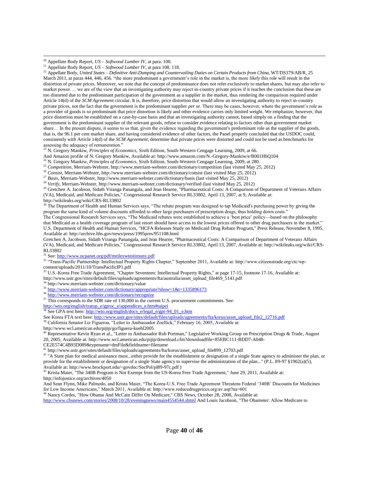$\overline{a}$ 

<sup>23</sup> N. Gregory Mankiw, *Principles of Economics*, Sixth Edition, South-Western Cengage Learning, 2009, at 66.

<sup>25</sup> Competition, Merriam-Webster, http://www.merriam-webster.com/dictionary/competition (last visited May 25, 2012)

<sup>27</sup> *Basis*, Merriam-Webster, http://www.merriam-webster.com/dictionary/basis (last visited May 25, 2012)

<sup>28</sup> *Verify*, Merriam-Webster, http://www.merriam-webster.com/dictionary/verified (last visited May 25, 2012)

<sup>29</sup> Gretchen A. Jacobson, Sidath Viranga Panangala, and Jean Hearne, "Pharmaceutical Costs: A Comparison of Department of Veterans Affairs (VA), Medicaid, and Medicare Policies," Congressional Research Service RL33802, April 13, 2007, at 9, Available at:

http://wikileaks.org/wiki/CRS-RL33802

<sup>30</sup> The Department of Health and Human Services says, "The rebate program was designed to tap Medicaid's purchasing power by giving the program the same kind of volume discounts afforded to other large purchasers of prescription drugs, thus holding down costs."

The Congressional Research Services says, "The Medicaid rebates were established to achieve a 'best price' policy—based on the philosophy that Medicaid as a health coverage program of last resort should have access to the lowest prices offered to other drug purchasers in the market." U.S. Department of Health and Human Services, "HCFA Releases Study on Medicaid Drug Rebate Program," Press Release, November 8, 1995, Available at: http://archive.hhs.gov/news/press/1995pres/951108.html

Gretchen A. Jacobson, Sidath Viranga Panangala, and Jean Hearne, "Pharmaceutical Costs: A Comparison of Department of Veterans Affairs (VA), Medicaid, and Medicare Policies," Congressional Research Service RL33802, April 13, 2007, Available at: http://wikileaks.org/wiki/CRS-RL33802

<sup>31</sup> See:<http://www.ncpanet.org/pdf/mrileywtestimony.pdf>

<sup>32</sup> "Trans-Pacific Partnership: Intellectual Property Rights Chapter," September 2011, Available at: http://www.citizenstrade.org/ctc/wpcontent/uploads/2011/10/TransPacificIP1.pdf

<sup>33</sup> U.S.-Korea Free Trade Agreement, "Chapter Seventeen: Intellectual Property Rights," at page 17-15, footnote 17-16, Available at:

http://www.ustr.gov/sites/default/files/uploads/agreements/fta/australia/asset\_upload\_file469\_5141.pdf

<sup>34</sup> http://www.merriam-webster.com/dictionary/value

<sup>35</sup> <http://www.merriam-webster.com/dictionary/appropriate?show=1&t=1335896173>

<sup>36</sup> http://w<u>ww.merriam-webster.com/dictionary/recognize</u>

<sup>37</sup> This corresponds to the SDR rate of 130,000 in the current U.S. procurement commitments. See:

[http://wto.org/english/tratop\\_e/gproc\\_e/appendices\\_e.htm#taipei](http://wto.org/english/tratop_e/gproc_e/appendices_e.htm#taipei)

See GPA text here: [http://wto.org/english/docs\\_e/legal\\_e/gpr-94\\_01\\_e.htm](http://wto.org/english/docs_e/legal_e/gpr-94_01_e.htm)

See Korea FTA text here[: http://www.ustr.gov/sites/default/files/uploads/agreements/fta/korus/asset\\_upload\\_file2\\_12716.pdf](http://www.ustr.gov/sites/default/files/uploads/agreements/fta/korus/asset_upload_file2_12716.pdf)

<sup>39</sup> California Senator Liz Figueroa, "Letter to Ambassador Zoellick," February 16, 2005, Available at:

http://www.wcl.american.edu/pijip/go/figuera-kuehl2005

<sup>40</sup> Representative Kevin Ryan et al., "Letter to Ambassador Rob Portman," Legislative Working Group on Prescription Drugs & Trade, August 20, 2005, Available at: http://www.wcl.american.edu/pijip/download.cfm?downloadfile=85EBC111-BDD7-A048- CE2E574C4B93D089&typename=dmFile&fieldname=filename<br>
<sup>41</sup> http://www.youtube.com/page/setypename=dmFile&fieldname=filename

<sup>41</sup> http://www.ustr.gov/sites/default/files/uploads/agreements/fta/korus/asset\_upload\_file899\_12703.pdf

 $42$  "A State plan for medical assistance must...either provide for the establishment or designation of a single State agency to administer the plan, or provide for the establishment or designation of a single State agency to supervise the administration of the plan..." (P.L. 89-97 §1902(a)(5), Available at: http://www.brockport.edu/~govdoc/SocPol/pl89-97c.pdf )

 $43$  Krista Maier, "The 340B Program is Not Exempt from the US-Korea Free Trade Agreement," June 29, 2011, Available at: http://infojustice.org/archives/4050

And Sean Flynn, Mike Palmedo, and Krista Maier, "The Korea-U.S. Free Trade Agreement Threatens Federal '340B' Discounts for Medicines for Low Income Americans," March 2011, Available at: http://www.reducedrugprices.org/av.asp?na=601

<sup>44</sup> Nancy Cordes, "How Obama And McCain Differ On Medicare," CBS News, October 28, 2008, Available at:

<http://www.cbsnews.com/stories/2008/10/28/eveningnews/main4554544.shtml> And Louis Jacobson, "The Obameter: Allow Medicare to

<sup>20</sup> Appellate Body Report, *US – Softwood Lumber IV*, at para. 100.

<sup>21</sup> Appellate Body Report, *US – Softwood Lumber IV*, at para 108, 118.

<sup>22</sup> Appellate Body, *United States – Definitive Anti-Dumping and Countervailing Duties on Certain Products from China*, WT/DS379/AB/R, 25 March 2011, at paras 444, 446, 456. "the more predominant a government's role in the market is, the more *likely* this role will result in the distortion of private prices. Moreover, we note that the concept of predominance does not refer exclusively to market shares, but may also refer to market power…. we are of the view that an investigating authority may reject in-country private prices if it reaches the conclusion that these are too distorted due to the predominant participation of the government as a supplier in the market, thus rendering the comparison required under Article 14(d) of the *SCM Agreement* circular. It is, therefore, price distortion that would allow an investigating authority to reject in-country private prices, not the fact that the government is the predominant supplier *per se*. There may be cases, however, where the government's role as a provider of goods is so predominant that price distortion is likely and other evidence carries only limited weight. We emphasize, however, that price distortion must be established on a case-by-case basis and that an investigating authority cannot, based simply on a finding that the government is the predominant supplier of the relevant goods, refuse to consider evidence relating to factors other than government market share… In the present dispute, it seems to us that, given the evidence regarding the government's predominant role as the supplier of the goods, that is, the 96.1 per cent market share, and having considered evidence of other factors, the Panel properly concluded that the USDOC could, consistently with Article 14(d) of the *SCM Agreement*, determine that private prices were distorted and could not be used as benchmarks for assessing the adequacy of remuneration."

And Amazon profile of N. Gregory Mankiw, Available at: http://www.amazon.com/N.-Gregory-Mankiw/e/B001H6Q104<br><sup>24</sup> N. Gregory: Mankiw: Driver of N. Gregory Mankiw/e<sup>24</sup> N. Gregory-Mankiw/e/B001H6Q104

<sup>24</sup> N. Gregory Mankiw, *Principles of Economics*, Sixth Edition, South-Western Cengage Learning, 2009, at 280.

<sup>26</sup> *Consist*, Merriam-Webster, http://www.merriam-webster.com/dictionary/consist (last visited May 25, 2012)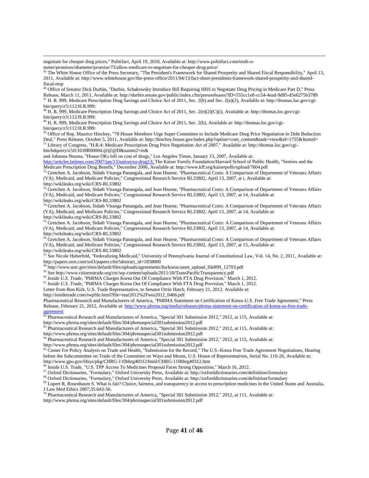negotiate for cheaper drug prices," Politifact, April 19, 2010, Available at: http://www.politifact.com/truth-ometer/promises/obameter/promise/73/allow-medicare-to-negotiate-for-cheaper-drug-price/

<sup>45</sup> The White House Office of the Press Secretary, "The President's Framework for Shared Prosperity and Shared Fiscal Responsibility," April 13, 2011, Available at: http://www.whitehouse.gov/the-press-office/2011/04/13/fact-sheet-presidents-framework-shared-prosperity-and-sharedfiscal-resp

<sup>46</sup> Office of Senator Dick Durbin, "Durbin, Schakowsky Introduce Bill Requiring HHS to Negotiate Drug Pricing in Medicare Part D," Press Release, March 11, 2011, Available at: http://durbin.senate.gov/public/index.cfm/pressreleases?ID=555cc1e8-cc54-4ead-9d85-d5e6275b3789 <sup>47</sup> H. R. 999, Medicare Prescription Drug Savings and Choice Act of 2011, Sec. 2(b) and Sec. 2(e)(2), Available at: http://thomas.loc.gov/cgi-

bin/query/z?c112:H.R.999: <sup>48</sup> H. R. 999, Medicare Prescription Drug Savings and Choice Act of 2011, Sec. 2(e)(2)(C)(i), Available at: http://thomas.loc.gov/cgibin/query/z?c112:H.R.999:

<sup>49</sup> H. R. 999, Medicare Prescription Drug Savings and Choice Act of 2011, Sec. 2(b), Available at: http://thomas.loc.gov/cgibin/query/z?c112:H.R.999:

<sup>50</sup> Office of Rep. Maurice Hinchey, "78 House Members Urge Super Committee to Include Medicare Drug Price Negotiation in Debt Reduction Deal," Press Release, October 5, 2011, Available at: http://hinchey.house.gov/index.php?option=com\_content&task=view&id=1755&Itemid= <sup>51</sup> Library of Congress, "H.R.4: Medicare Prescription Drug Price Negotiation Act of 2007," Available at: http://thomas.loc.gov/cgibin/bdquery/z?d110:HR00004:@@@D&summ2=m&

and Johanna Neuma, "House OKs bill on cost of drugs," Los Angeles Times, January 13, 2007, Available at:

[http://articles.latimes.com/2007/jan/13/nation/na-drug13;](http://articles.latimes.com/2007/jan/13/nation/na-drug13) The Kaiser Family Foundation/Harvard School of Public Health, "Seniors and the Medicare Prescription Drug Benefit," December 2006, Available at: http://www.kff.org/kaiserpolls/upload/7604.pdf

<sup>52</sup> Gretchen A. Jacobson, Sidath Viranga Panangala, and Jean Hearne, "Pharmaceutical Costs: A Comparison of Department of Veterans Affairs (VA), Medicaid, and Medicare Policies," Congressional Research Service RL33802, April 13, 2007, at i, Available at:

http://wikileaks.org/wiki/CRS-RL33802

 $\overline{a}$ 

53 Gretchen A. Jacobson, Sidath Viranga Panangala, and Jean Hearne, "Pharmaceutical Costs: A Comparison of Department of Veterans Affairs (VA), Medicaid, and Medicare Policies," Congressional Research Service RL33802, April 13, 2007, at 14, Available at: http://wikileaks.org/wiki/CRS-RL33802

54 Gretchen A. Jacobson, Sidath Viranga Panangala, and Jean Hearne, "Pharmaceutical Costs: A Comparison of Department of Veterans Affairs (VA), Medicaid, and Medicare Policies," Congressional Research Service RL33802, April 13, 2007, at 14, Available at: http://wikileaks.org/wiki/CRS-RL33802

<sup>55</sup> Gretchen A. Jacobson, Sidath Viranga Panangala, and Jean Hearne, "Pharmaceutical Costs: A Comparison of Department of Veterans Affairs (VA), Medicaid, and Medicare Policies," Congressional Research Service RL33802, April 13, 2007, at 14, Available at: http://wikileaks.org/wiki/CRS-RL33802

<sup>56</sup> Gretchen A. Jacobson, Sidath Viranga Panangala, and Jean Hearne, "Pharmaceutical Costs: A Comparison of Department of Veterans Affairs (VA), Medicaid, and Medicare Policies," Congressional Research Service RL33802, April 13, 2007, at 15, Available at: http://wikileaks.org/wiki/CRS-RL33802

 $57$  See Nicole Huberfeld, "Federalizing Medicaid," University of Pennsylvania Journal of Constitutional Law, Vol. 14, No. 2, 2011, Available at: http://papers.ssrn.com/sol3/papers.cfm?abstract\_id=1858800<br>
<sup>58</sup> http://papers.ssrn.com/sol3/papers.cfm?abstract\_id=1858800

<sup>58</sup> http://www.ustr.gov/sites/default/files/uploads/agreements/fta/korus/asset\_upload\_file899\_12703.pdf

<sup>59</sup> See http://www.citizenstrade.org/ctc/wp-content/uploads/2011/10/TransPacificTransparency.pdf

<sup>60</sup> *Inside U.S. Trade*, "PhRMA Charges Korea Out Of Compliance With FTA Drug Provision," March 1, 2012.

<sup>61</sup> *Inside U.S. Trade*, "PhRMA Charges Korea Out Of Compliance With FTA Drug Provision," March 1, 2012.

Letter from Ron Kirk, U.S. Trade Representative, to Senator Orrin Hatch, February 21, 2012. Available at:

http://insidetrade.com/iwpfile.html?file=mar2012%2Fwto2012\_0466.pdf

Pharmaceutical Research and Manufacturers of America, "PhRMA Statement on Certification of Korea-U.S. Free Trade Agreement," Press Release, February 21, 2012, Available at: [http://www.phrma.org/media/releases/phrma-statement-on-certification-of-korea-us-free-trade](http://www.phrma.org/media/releases/phrma-statement-on-certification-of-korea-us-free-trade-agreement)[agreement](http://www.phrma.org/media/releases/phrma-statement-on-certification-of-korea-us-free-trade-agreement)

 $62$  Pharmaceutical Research and Manufacturers of America, "Special 301 Submission 2012," 2012, at 115, Available at:

http://www.phrma.org/sites/default/files/304/phrmaspecial301submission2012.pdf

<sup>63</sup> Pharmaceutical Research and Manufacturers of America, "Special 301 Submission 2012," 2012, at 115, Available at:

http://www.phrma.org/sites/default/files/304/phrmaspecial301submission2012.pdf

<sup>64</sup> Pharmaceutical Research and Manufacturers of America, "Special 301 Submission 2012," 2012, at 115, Available at:

http://www.phrma.org/sites/default/files/304/phrmaspecial301submission2012.pdf

<sup>65</sup> Center For Policy Analysis on Trade and Health, "Submission for the Record," The U.S.-Korea Free Trade Agreement Negotiations, Hearing before the Subcommittee on Trade of the Committee on Ways and Means, U.S. House of Representatives, Serial No. 110-26, Available at: http://www.gpo.gov/fdsys/pkg/CHRG-110hhrg40312/html/CHRG-110hhrg40312.htm

<sup>66</sup> Inside U.S. Trade, "U.S. TPP Access To Medicines Proposal Faces Strong Opposition," March 16, 2012.

<sup>67</sup> Oxford Dictionaries, "Formulary," Oxford University Press, Available at: http://oxforddictionaries.com/definition/formulary

<sup>68</sup> Oxford Dictionaries, "Formulary," Oxford University Press, Available at: http://oxforddictionaries.com/definition/formulary

<sup>69</sup> Lopert R, Rosenbaum S. What is fair? Choice, fairness, and transparency in access to prescription medicines in the United States and Australia. J Law Med Ethics 2007;35:643-56.

Pharmaceutical Research and Manufacturers of America, "Special 301 Submission 2012," 2012, at 111, Available at: http://www.phrma.org/sites/default/files/304/phrmaspecial301submission2012.pdf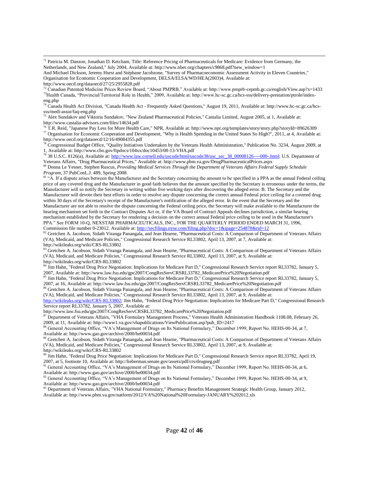<sup>71</sup> Patricia M. Danzon, Jonathan D. Ketcham, Title: Reference Pricing of Pharmaceuticals for Medicare: Evidence from Germany, the Netherlands, and New Zealand," July 2004, Available at: http://www.nber.org/chapters/c9868.pdf?new\_window=1

And Michael Dickson, Jeremy Hurst and Stéphane Jacobzone, "Survey of Pharmacoeconomic Assessment Activity in Eleven Countries," Organisation for Economic Cooperation and Development, DELSA/ELSA/WD/HEA(2003)4, Available at:

 $\overline{a}$ 

<sup>72</sup> Canadian Patented Medicine Prices Review Board, "About PMPRB," Available at: http://www.pmprb-cepmb.gc.ca/english/View.asp?x=1433 <sup>73</sup>Health Canada, "Provincial/Territorial Role in Health," 2009, Available at: http://www.hc-sc.gc.ca/hcs-sss/delivery-prestation/ptrole/indexeng.php

<sup>74</sup> Canada Health Act Division, "Canada Health Act - Frequently Asked Questions," August 19, 2011, Available at: http://www.hc-sc.gc.ca/hcssss/medi-assur/faq-eng.php

<sup>75</sup> Alex Sundakov and Viktoria Sundakov, "New Zealand Pharmaceutical Policies," Castalia Limited, August 2005, at 1, Available at: http://www.castalia-advisors.com/files/14634.pdf

7.R. Reid, "Japanese Pay Less for More Health Care," NPR, Available at: http://www.npr.org/templates/story/story.php?storyId=89626309  $77$  Organisation for Economic Cooperation and Development, "Why is Health Spending in the United States So High?", 2011, at 4, Available at: http://www.oecd.org/dataoecd/12/16/49084355.pdf

 $^8$  Congressional Budget Office, "Quality Initiatives Undertaken by the Veterans Health Administration," Publication No. 3234, August 2009, at 1, Available at: http://www.cbo.gov/ftpdocs/104xx/doc10453/08-13-VHA.pdf

<sup>79</sup> 38 U.S.C. 8126(a), Available at[: http://www.law.cornell.edu/uscode/html/uscode38/usc\\_sec\\_38\\_00008126----000-.html;](http://www.law.cornell.edu/uscode/html/uscode38/usc_sec_38_00008126----000-.html) U.S. Department of Veterans Affairs, "Drug Pharmaceutical Prices," Available at: http://www.pbm.va.gov/DrugPharmaceuticalPrices.aspx

80 Donna Le Yesner, Stephen Ruscus, *Providing Medical Services Through the Department of Veterans Affairs Federal Supply Schedule Program*, 37 PubConL.J. 489, Spring 2008.

<sup>81</sup> "A. If a dispute arises between the Manufacturer and the Secretary concerning the amount to be specified in a PPA as the annual Federal ceiling price of any covered drug and the Manufacturer in good faith believes that the amount specified by the Secretary is erroneous under the terms, the Manufacturer will so notify the Secretary in writing within five working days after discovering the alleged error. B. The Secretary and the Manufacturer will devote their best efforts in order to resolve any dispute concerning the correct annual Federal price ceiling for a covered drug within 30 days of the Secretary's receipt of the Manufacturer's notification of the alleged error. In the event that the Secretary and the Manufacturer are not able to resolve the dispute concerning the Federal ceiling price, the Secretary will make available to the Manufacturer the hearing mechanism set forth in the Contract Disputes Act or, if the VA Board of Contract Appeals declines jurisdiction, a similar hearing mechanism established by the Secretary for rendering a decision on the correct annual Federal price ceiling to be used in the Manufacturer's PPA." See FORM 10-Q, NEXSTAR PHARMACEUTICALS, INC., FOR THE QUARTERLY PERIOD ENDED MARCH 31, 1996, Commission file number 0-23012. Available at: http://secfilings.nyse.com/filing.php?doc=1&ipage=254878&rid=12

82 Gretchen A. Jacobson, Sidath Viranga Panangala, and Jean Hearne, "Pharmaceutical Costs: A Comparison of Department of Veterans Affairs (VA), Medicaid, and Medicare Policies," Congressional Research Service RL33802, April 13, 2007, at 7, Available at: http://wikileaks.org/wiki/CRS-RL33802

83 Gretchen A. Jacobson, Sidath Viranga Panangala, and Jean Hearne, "Pharmaceutical Costs: A Comparison of Department of Veterans Affairs (VA), Medicaid, and Medicare Policies," Congressional Research Service RL33802, April 13, 2007, at 9, Available at: http://wikileaks.org/wiki/CRS-RL33802

<sup>84</sup> Jim Hahn, "Federal Drug Price Negotiation: Implications for Medicare Part D," Congressional Research Service report RL33782, January 5, 2007, Available at: http://www.law.fsu.edu/gpc2007/CongResServCRSRL33782\_MedicarePrice%20Negotiation.pdf

85 Jim Hahn, "Federal Drug Price Negotiation: Implications for Medicare Part D," Congressional Research Service report RL33782, January 5, 2007, at 16, Available at: http://www.law.fsu.edu/gpc2007/CongResServCRSRL33782\_MedicarePrice%20Negotiation.pdf

86 Gretchen A. Jacobson, Sidath Viranga Panangala, and Jean Hearne, "Pharmaceutical Costs: A Comparison of Department of Veterans Affairs (VA), Medicaid, and Medicare Policies," Congressional Research Service RL33802, April 13, 2007, at 9, Available at:

[http://wikileaks.org/wiki/CRS-RL33802;](http://wikileaks.org/wiki/CRS-RL33802) Jim Hahn, "Federal Drug Price Negotiation: Implications for Medicare Part D," Congressional Research Service report RL33782, January 5, 2007, Available at:

http://www.law.fsu.edu/gpc2007/CongResServCRSRL33782\_MedicarePrice%20Negotiation.pdf

<sup>87</sup> Department of Veterans Affairs, "VHA Formulary Management Process," Veterans Health Administration Handbook 1108.08, February 26, 2009, at 11, Available at: http://www1.va.gov/vhapublications/ViewPublication.asp?pub\_ID=2417

88 General Accounting Office, "VA's Management of Drugs on Its National Formulary," December 1999, Report No. HEHS-00-34, at 7, Available at: http://www.gao.gov/archive/2000/he00034.pdf

<sup>89</sup> Gretchen A. Jacobson, Sidath Viranga Panangala, and Jean Hearne, "Pharmaceutical Costs: A Comparison of Department of Veterans Affairs (VA), Medicaid, and Medicare Policies," Congressional Research Service RL33802, April 13, 2007, at 9, Available at: http://wikileaks.org/wiki/CRS-RL33802

<sup>90</sup> Jim Hahn, "Federal Drug Price Negotiation: Implications for Medicare Part D," Congressional Research Service report RL33782, April 19, 2007, at 5, footnote 10, Available at: http://lieberman.senate.gov/assets/pdf/crs/drugneg.pdf

91 General Accounting Office, "VA's Management of Drugs on Its National Formulary," December 1999, Report No. HEHS-00-34, at 6, Available at: http://www.gao.gov/archive/2000/he00034.pdf

92 General Accounting Office, "VA's Management of Drugs on Its National Formulary," December 1999, Report No. HEHS-00-34, at 9, Available at: http://www.gao.gov/archive/2000/he00034.pdf

93 Department of Veterans Affairs, "VHA National Formulary," Pharmacy Benefits Management Strategic Health Group, January 2012, Available at: http://www.pbm.va.gov/natform/2012/VA%20National%20Formulary-JANUARY%202012.xls

http://www.oecd.org/dataoecd/27/25/2955828.pdf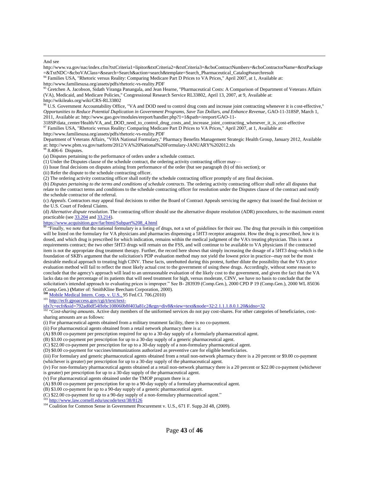And see

 $\overline{a}$ 

http://www.va.gov/nac/index.cfm?txtCriteria1=lipitor&txtCriteria2=&txtCriteria3=&cboContractNumbers=&cboContractorName=&txtPackage =&TxtNDC=&cboVAClass=&search=Search&action=search&template=Search\_Pharmaceutical\_Catalog#searchresult

<sup>94</sup> Families USA, "Rhetoric versus Reality: Comparing Medicare Part D Prices to VA Prices," April 2007, at 1, Available at: http://www.familiesusa.org/assets/pdfs/rhetoric-vs-reality.PDF

<sup>95</sup> Gretchen A. Jacobson, Sidath Viranga Panangala, and Jean Hearne, "Pharmaceutical Costs: A Comparison of Department of Veterans Affairs (VA), Medicaid, and Medicare Policies," Congressional Research Service RL33802, April 13, 2007, at 9, Available at:

http://wikileaks.org/wiki/CRS-RL33802

<sup>96</sup> U.S. Government Accountability Office, "VA and DOD need to control drug costs and increase joint contracting whenever it is cost-effective," *Opportunities to Reduce Potential Duplication in Government Programs, Save Tax Dollars, and Enhance Revenue*, GAO-11-318SP, March 1, 2011, Available at: http://www.gao.gov/modules/ereport/handler.php?1=1&path=/ereport/GAO-11-

318SP/data\_center/Health/VA\_and\_DOD\_need\_to\_control\_drug\_costs\_and\_increase\_joint\_contracting\_whenever\_it\_is\_cost-effective<br>
<sup>97</sup> Families USA\_EDIATEDDD\_DOD\_need\_to\_control\_drug\_costs\_and\_increase\_joint\_contracting\_wheneve <sup>97</sup> Families USA, "Rhetoric versus Reality: Comparing Medicare Part D Prices to VA Prices," April 2007, at 1, Available at: http://www.familiesusa.org/assets/pdfs/rhetoric-vs-reality.PDF

Department of Veterans Affairs, "VHA National Formulary," Pharmacy Benefits Management Strategic Health Group, January 2012, Available at: http://www.pbm.va.gov/natform/2012/VA%20National%20Formulary-JANUARY%202012.xls

<sup>98</sup> 8.406-6 Disputes.

(a) Disputes pertaining to the performance of orders under a schedule contract.

(1) Under the Disputes clause of the schedule contract, the ordering activity contracting officer may—

(i) Issue final decisions on disputes arising from performance of the order (but see paragraph (b) of this section); or

(ii) Refer the dispute to the schedule contracting officer.

(2) The ordering activity contracting officer shall notify the schedule contracting officer promptly of any final decision.

(b) *Disputes pertaining to the terms and conditions of schedule contracts*. The ordering activity contracting officer shall refer all disputes that relate to the contract terms and conditions to the schedule contracting officer for resolution under the Disputes clause of the contract and notify the schedule contractor of the referral.

(c) *Appeals*. Contractors may appeal final decisions to either the Board of Contract Appeals servicing the agency that issued the final decision or the U.S. Court of Federal Claims.

(d) *Alternative dispute resolution*. The contracting officer should use the alternative dispute resolution (ADR) procedures, to the maximum extent practicable (see [33.204](https://www.acquisition.gov/far/html/Subpart%2033_2.html#wp1079883) an[d 33.214\)](https://www.acquisition.gov/far/html/Subpart%2033_2.html#wp1079942).

#### [https://www.acquisition.gov/far/html/Subpart%208\\_4.html](https://www.acquisition.gov/far/html/Subpart%208_4.html)

 $99$  "Finally, we note that the national formulary is a listing of drugs, not a set of guidelines for their use. The drug that prevails in this competition will be listed on the formulary for VA physicians and pharmacies dispensing a 5HT3 receptor antagonist. How the drug is prescribed, how it is dosed, and which drug is prescribed for which indication, remains within the medical judgment of the VA's treating physician. This is not a requirements contract; the two other 5HT3 drugs will remain on the FSS, and will continue to be available to VA physicians if the contracted item is not the appropriate drug treatment therapy. Further, the record here shows that simply increasing the dosage of a 5HT3 drug--which is the foundation of SKB's argument that the solicitation's PDP evaluation method may not yield the lowest price in practice--may not be the most desirable medical approach to treating high CINV. These facts, unrebutted during this protest, further dilute the possibility that the VA's price evaluation method will fail to reflect the most likely actual cost to the government of using these drugs. Accordingly, without some reason to conclude that the agency's approach will lead to an unreasonable evaluation of the likely cost to the government, and given the fact that the VA lacks data on the percentage of its patients that will need treatment for high, versus moderate, CINV, we have no basis to conclude that the solicitation's intended approach to evaluating prices is improper." See B- 283939 (Comp.Gen.), 2000 CPD P 19 (Comp.Gen.), 2000 WL 85036 **(Comp.Gen.) (Matter of: SmithKline Beecham Corporation, 2000).**<br> **(Comp.Gen.) (Matter of: SmithKline Beecham Corporation, 2000).** 

**<sup>100</sup>** [Mobile Medical Intern. Corp. v. U.S.,](https://a.next.westlaw.com/Document/Ibf5a0e67fd5211df852cd4369a8093f1/View/FullText.html?listSource=Search&navigationPath=Search%2fv3%2fsearch%2fresults%2fnavigation%2fi0ad60408000001375b7337648dcac003%3fNav%3dCASE%26fragmentIdentifier%3dIbf5a0e67fd5211df852cd4369a8093f1%26startIndex%3d1%26contextData%3d%2528sc.Search%2529%26transitionType%3dSearchItem&list=CASE&rank=3&listPageSource=43dd894bd9bd722ad1a287c710f8d1ac&originationContext=docHeader&contextData=%28sc.Search%29&transitionType=Document&docSource=d6d80c81098c4e3ea77bf8dbe4b06d0d) 95 Fed.Cl. 706.(2010)

<sup>101</sup> [http://ecfr.gpoaccess.gov/cgi/t/text/text-](http://ecfr.gpoaccess.gov/cgi/t/text/text-idx?c=ecfr&sid=792ad0df54ffebc108060b8f403a81c2&rgn=div8&view=text&node=32:2.1.1.1.8.0.1.20&idno=32)

[idx?c=ecfr&sid=792ad0df54ffebc108060b8f403a81c2&rgn=div8&view=text&node=32:2.1.1.1.8.0.1.20&idno=32](http://ecfr.gpoaccess.gov/cgi/t/text/text-idx?c=ecfr&sid=792ad0df54ffebc108060b8f403a81c2&rgn=div8&view=text&node=32:2.1.1.1.8.0.1.20&idno=32)

<sup>102</sup> "Cost-sharing amounts. Active duty members of the uniformed services do not pay cost-shares. For other categories of beneficiaries, costsharing amounts are as follows:

(i) For pharmaceutical agents obtained from a military treatment facility, there is no co-payment.

(ii) For pharmaceutical agents obtained from a retail network pharmacy there is a:

(A) \$9.00 co-payment per prescription required for up to a 30-day supply of a formularly pharmaceutical agent.

(B) \$3.00 co-payment per prescription for up to a 30-day supply of a generic pharmaceutical agent.

(C) \$22.00 co-payment per prescription for up to a 30-day supply of a non-formulary pharmaceutical agent.

(D) \$0.00 co-payment for vaccines/immunizations authorized as preventive care for eligible beneficiaries.

(iii) For formulary and generic pharmaceutical agents obtained from a retail non-network pharmacy there is a 20 percent or \$9.00 co-payment (whichever is greater) per prescription for up to a 30-day supply of the pharmaceutical agent.

(iv) For non-formulary pharmaceutical agents obtained at a retail non-network pharmacy there is a 20 percent or \$22.00 co-payment (whichever is greater) per prescription for up to a 30-day supply of the pharmaceutical agent.

(v) For pharmaceutical agents obtained under the TMOP program there is a:

(A) \$9.00 co-payment per prescription for up to a 90-day supply of a formulary pharmaceutical agent.

(B) \$3.00 co-payment for up to a 90-day supply of a generic pharmaceutical agent.

(C) \$22.00 co-payment for up to a 90-day supply of a non-formulary pharmaceutical agent."

<sup>103</sup> <http://www.law.cornell.edu/uscode/text/38/8126>

<sup>104</sup> Coalition for Common Sense in Government Procurement v. U.S., 671 F. Supp.2d 48, (2009).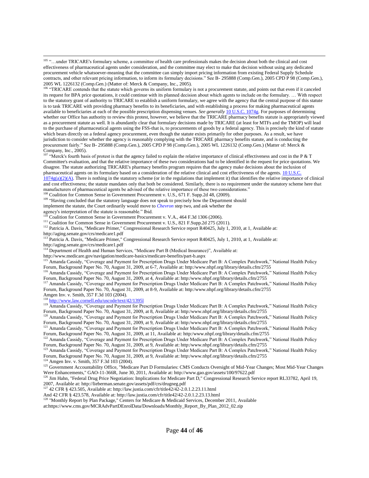<sup>105</sup> "...under TRICARE's formulary scheme, a committee of health care professionals makes the decision about both the clinical and cost effectiveness of pharmaceutical agents under consideration, and the committee may elect to make that decision without using any dedicated procurement vehicle whatsoever-meaning that the committee can simply import pricing information from existing Federal Supply Schedule contracts, and other relevant pricing information, to inform its formulary decisions." See B- 295888 (Comp.Gen.), 2005 CPD P 98 (Comp.Gen.), 2005 WL 1226132 (Comp.Gen.) (Matter of: Merck & Company, Inc., 2005).

<sup>106</sup> "TRICARE contends that the statute which governs its uniform formulary is not a procurement statute, and points out that even if it canceled its request for BPA price quotations, it could continue with its planned decision about which agents to include on the formulary. … With respect to the statutory grant of authority to TRICARE to establish a uniform formulary, we agree with the agency that the central purpose of this statute is to task TRICARE with providing pharmacy benefits to its beneficiaries, and with establishing a process for making pharmaceutical agents available to beneficiaries at each of the possible prescription dispensing venues. *See generally* [10 U.S.C. 1074g.](https://a.next.westlaw.com/Link/Document/FullText?findType=L&pubNum=1000546&cite=10USCAS1074G&originatingDoc=Ia14f6a5bf97011d983e7e9deff98dc6f&refType=LQ&originationContext=document&transitionType=DocumentItem&contextData=%28sc.Search%29) For purposes of determining whether our Office has authority to review this protest, however, we believe that the TRICARE pharmacy benefits statute is appropriately viewed as a procurement statute as well. It is abundantly clear that formulary decisions made by TRICARE (at least for MTFs and the TMOP) will lead to the purchase of pharmaceutical agents using the FSS-that is, to procurements of goods by a federal agency. This is precisely the kind of statute which bears directly on a federal agency procurement, even though the statute exists primarily for other purposes. As a result, we have jurisdiction to consider whether the agency is reasonably complying with the TRICARE pharmacy benefits statute, and is conducting the procurement fairly." See B- 295888 (Comp.Gen.), 2005 CPD P 98 (Comp.Gen.), 2005 WL 1226132 (Comp.Gen.) (Matter of: Merck & Company, Inc., 2005).

 $107$  "Merck's fourth basis of protest is that the agency failed to explain the relative importance of clinical effectiveness and cost in the P & T Committee's evaluation, and that the relative importance of these two considerations had to be identified in the request for price quotations. We disagree. The statute authorizing TRICARE's pharmacy benefits program requires that the agency make decisions about the inclusion of pharmaceutical agents on its formulary based on a consideration of the relative clinical and cost effectiveness of the agents[. 10 U.S.C.](https://a.next.westlaw.com/Link/Document/FullText?findType=L&pubNum=1000546&cite=10USCAS1074G&originationContext=document&transitionType=DocumentItem&contextData=%28sc.Search%29#co_pp_b5120000f7a05)   $1074g(a)(2)(A)$ . There is nothing in the statutory scheme (or in the regulations that implement it) that identifies the relative importance of clinical and cost effectiveness; the statute mandates only that both be considered. Similarly, there is no requirement under the statutory scheme here that manufacturers of pharmaceutical agents be advised of the relative importance of these two considerations." <sup>108</sup> Coalition for Common Sense in Government Procurement v. U.S., 671 F. Supp.2d 48, (2009).

<sup>109</sup> "Having concluded that the statutory language does not speak to precisely how the Department should implement the statute, the Court ordinarily would move to *Chevron* step two, and ask whether the

agency's interpretation of the statute is reasonable." Ibid.  $110$  Coalition for Common Sense in Government Procurement v. V.A., 464 F.3d 1306 (2006).

<sup>111</sup> Coalition for Common Sense in Government Procurement v. U.S., 821 F.Supp.2d 275 (2011).

<sup>112</sup> Patricia A. Davis, "Medicare Primer," Congressional Research Service report R40425, July 1, 2010, at 1, Available at: http://aging.senate.gov/crs/medicare1.pdf

<sup>113</sup> Patricia A. Davis, "Medicare Primer," Congressional Research Service report R40425, July 1, 2010, at 1, Available at: http://aging.senate.gov/crs/medicare1.pdf

<sup>114</sup> Department of Health and Human Services, "Medicare Part B (Medical Insurance)", Available at:

http://www.medicare.gov/navigation/medicare-basics/medicare-benefits/part-b.aspx

Amanda Cassidy, "Coverage and Payment for Prescription Drugs Under Medicare Part B: A Complex Patchwork," National Health Policy Forum, Background Paper No. 70, August 31, 2009, at 6-7, Available at: http:/www.nhpf.org/library/details.cfm/2755

<sup>116</sup> Amanda Cassidy, "Coverage and Payment for Prescription Drugs Under Medicare Part B: A Complex Patchwork," National Health Policy Forum, Background Paper No. 70, August 31, 2009, at 4, Available at: http:/www.nhpf.org/library/details.cfm/2755

<sup>117</sup> Amanda Cassidy, "Coverage and Payment for Prescription Drugs Under Medicare Part B: A Complex Patchwork," National Health Policy Forum, Background Paper No. 70, August 31, 2009, at 8-9, Available at: http:/www.nhpf.org/library/details.cfm/2755 Amgen Inv. v. Smith, 357 F.3d 103 (2004).

<sup>118</sup> <http://www.law.cornell.edu/uscode/text/42/1395l>

 $\overline{a}$ 

<sup>119</sup> Amanda Cassidy, "Coverage and Payment for Prescription Drugs Under Medicare Part B: A Complex Patchwork," National Health Policy Forum, Background Paper No. 70, August 31, 2009, at 8, Available at: http:/www.nhpf.org/library/details.cfm/2755

<sup>120</sup> Amanda Cassidy, "Coverage and Payment for Prescription Drugs Under Medicare Part B: A Complex Patchwork," National Health Policy Forum, Background Paper No. 70, August 31, 2009, at 9, Available at: http:/www.nhpf.org/library/details.cfm/2755

<sup>121</sup> Amanda Cassidy, "Coverage and Payment for Prescription Drugs Under Medicare Part B: A Complex Patchwork," National Health Policy Forum, Background Paper No. 70, August 31, 2009, at 11, Available at: http:/www.nhpf.org/library/details.cfm/2755

<sup>122</sup> Amanda Cassidy, "Coverage and Payment for Prescription Drugs Under Medicare Part B: A Complex Patchwork," National Health Policy Forum, Background Paper No. 70, August 31, 2009, at 9, Available at: http:/www.nhpf.org/library/details.cfm/2755

<sup>123</sup> Amanda Cassidy, "Coverage and Payment for Prescription Drugs Under Medicare Part B: A Complex Patchwork," National Health Policy Forum, Background Paper No. 70, August 31, 2009, at 9, Available at: http:/www.nhpf.org/library/details.cfm/2755

<sup>124</sup> Amgen Inv. v. Smith, 357 F.3d 103 (2004).

<sup>125</sup> Government Accountability Office, "Medicare Part D Formularies: CMS Conducts Oversight of Mid-Year Changes; Most Mid-Year Changes Were Enhancements," GAO-11-366R, June 30, 2011, Available at: http://www.gao.gov/assets/100/97622.pdf

<sup>126</sup> Jim Hahn, "Federal Drug Price Negotiation: Implications for Medicare Part D," Congressional Research Service report RL33782, April 19, 2007, Available at: http://lieberman.senate.gov/assets/pdf/crs/drugneg.pdf

<sup>127</sup> 42 CFR § 423.505, Available at: http://law.justia.com/cfr/title42/42-2.0.1.2.23.11.html

And 42 CFR § 423.578, Available at: http://law.justia.com/cfr/title42/42-2.0.1.2.23.13.html

<sup>128</sup> "Monthly Report by Plan Package," Centers for Medicare & Medicaid Services, December 2011, Available

at:https://www.cms.gov/MCRAdvPartDEnrolData/Downloads/Monthly\_Report\_By\_Plan\_2012\_02.zip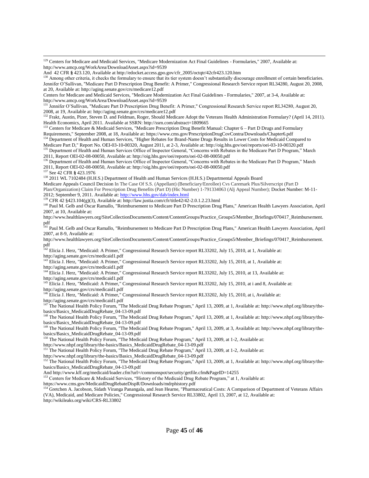<sup>129</sup> Centers for Medicare and Medicaid Services, "Medicare Modernization Act Final Guidelines - Formularies," 2007, Available at: http://www.amcp.org/WorkArea/DownloadAsset.aspx?id=9539

And 42 CFR **§** 423.120, Available at http://edocket.access.gpo.gov/cfr\_2005/octqtr/42cfr423.120.htm

<sup>130</sup> Among other criteria, it checks the formulary to ensure that its tier system doesn't substantially discourage enrollment of certain beneficiaries. Jennifer O'Sullivan, "Medicare Part D Prescription Drug Benefit: A Primer," Congressional Research Service report RL34280, August 20, 2008, at 20, Available at: http://aging.senate.gov/crs/medicare12.pdf

Centers for Medicare and Medicaid Services, "Medicare Modernization Act Final Guidelines - Formularies," 2007, at 3-4, Available at: http://www.amcp.org/WorkArea/DownloadAsset.aspx?id=9539

<sup>131</sup> Jennifer O'Sullivan, "Medicare Part D Prescription Drug Benefit: A Primer," Congressional Research Service report RL34280, August 20, 2008, at 19, Available at: http://aging.senate.gov/crs/medicare12.pdf

132 Frakt, Austin, Pizer, Steven D. and Feldman, Roger, Should Medicare Adopt the Veterans Health Administration Formulary? (April 14, 2011). Health Economics, April 2011. Available at SSRN: http://ssrn.com/abstract=1809665

<sup>3</sup> Centers for Medicare & Medicaid Services, "Medicare Prescription Drug Benefit Manual: Chapter 6 – Part D Drugs and Formulary Requirements," September 2008, at 18, Available at: https://www.cms.gov/PrescriptionDrugCovContra/Downloads/Chapter6.pdf

<sup>134</sup> Department of Health and Human Services, "Higher Rebates for Brand-Name Drugs Results in Lower Costs for Medicaid Compared to Medicare Part D," Report No. OEI-03-10-00320, August 2011, at 2-3, Available at: http://oig.hhs.gov/oei/reports/oei-03-10-00320.pdf <sup>135</sup> Department of Health and Human Services Office of Inspector General, "Concerns with Rebates in the Medicare Part D Program," March

2011, Report OEI-02-08-00050, Available at: http://oig.hhs.gov/oei/reports/oei-02-08-00050.pdf

<sup>136</sup> Department of Health and Human Services Office of Inspector General, "Concerns with Rebates in the Medicare Part D Program," March 2011, Report OEI-02-08-00050, Available at: http://oig.hhs.gov/oei/reports/oei-02-08-00050.pdf

<sup>137</sup> See 42 CFR **§** 423.1976

 $\overline{a}$ 

<sup>138</sup> 2011 WL 7102484 (H.H.S.) Department of Health and Human Services (H.H.S.) Departmental Appeals Board

Medicare Appeals Council Decision In The Case Of S.S. (Appellant) (Beneficiary/Enrollee) Cvs Caremark Plus/Silverscript (Part D Plan/Organization) Claim For Prescription Drug Benefits (Part D) (Hic Number) 1-791334063 (Alj Appeal Number); Docket Number: M-11- 2012; September 9, 2011. Available at[: http://www.hhs.gov/dab/index.html](http://www.hhs.gov/dab/index.html)

<sup>139</sup> CFR 42 §423.104(g)(3), Available at: http://law.justia.com/cfr/title42/42-2.0.1.2.23.html

<sup>140</sup> Paul M. Gelb and Oscar Ramallo, "Reimbursement to Medicare Part D Prescription Drug Plans," American Health Lawyers Association, April 2007, at 10, Available at:

http://www.healthlawyers.org/SiteCollectionDocuments/Content/ContentGroups/Practice\_Groups5/Member\_Briefings/070417\_Reimbursement. pdf

<sup>141</sup> Paul M. Gelb and Oscar Ramallo, "Reimbursement to Medicare Part D Prescription Drug Plans," American Health Lawyers Association, April 2007, at 8-9, Available at:

http://www.healthlawyers.org/SiteCollectionDocuments/Content/ContentGroups/Practice\_Groups5/Member\_Briefings/070417\_Reimbursement. pdf

<sup>142</sup> Elicia J. Herz, "Medicaid: A Primer," Congressional Research Service report RL33202, July 15, 2010, at 1, Available at: http://aging.senate.gov/crs/medicaid1.pdf

<sup>143</sup> Elicia J. Herz, "Medicaid: A Primer," Congressional Research Service report RL33202, July 15, 2010, at 1, Available at: http://aging.senate.gov/crs/medicaid1.pdf

<sup>144</sup> Elicia J. Herz, "Medicaid: A Primer," Congressional Research Service report RL33202, July 15, 2010, at 13, Available at: http://aging.senate.gov/crs/medicaid1.pdf

<sup>145</sup> Elicia J. Herz, "Medicaid: A Primer," Congressional Research Service report RL33202, July 15, 2010, at i and 8, Available at: http://aging.senate.gov/crs/medicaid1.pdf

<sup>146</sup> Elicia J. Herz, "Medicaid: A Primer," Congressional Research Service report RL33202, July 15, 2010, at i, Available at:

http://aging.senate.gov/crs/medicaid1.pdf

<sup>147</sup> The National Health Policy Forum, "The Medicaid Drug Rebate Program," April 13, 2009, at 1, Available at: http://www.nhpf.org/library/thebasics/Basics\_MedicaidDrugRebate\_04-13-09.pdf

<sup>148</sup> The National Health Policy Forum, "The Medicaid Drug Rebate Program," April 13, 2009, at 1, Available at: http://www.nhpf.org/library/thebasics/Basics\_MedicaidDrugRebate\_04-13-09.pdf

<sup>149</sup> The National Health Policy Forum, "The Medicaid Drug Rebate Program," April 13, 2009, at 3, Available at: http://www.nhpf.org/library/thebasics/Basics\_MedicaidDrugRebate\_04-13-09.pdf

<sup>150</sup> The National Health Policy Forum, "The Medicaid Drug Rebate Program," April 13, 2009, at 1-2, Available at:

http://www.nhpf.org/library/the-basics/Basics\_MedicaidDrugRebate\_04-13-09.pdf<br><sup>151</sup>The Medicaid Vibrary/the-basics/Basics\_MedicaidDrugRebate\_04-13-09.pdf

The National Health Policy Forum, "The Medicaid Drug Rebate Program," April 13, 2009, at 1-2, Available at:

http://www.nhpf.org/library/the-basics/Basics\_MedicaidDrugRebate\_04-13-09.pdf

<sup>152</sup> The National Health Policy Forum, "The Medicaid Drug Rebate Program," April 13, 2009, at 1, Available at: http://www.nhpf.org/library/thebasics/Basics\_MedicaidDrugRebate\_04-13-09.pdf

And http://www.kff.org/medicaid/loader.cfm?url=/commonspot/security/getfile.cfm&PageID=14255

<sup>153</sup> Centers for Medicare & Medicaid Services, "History of the Medicaid Drug Rebate Program," at 1, Available at:

https://www.cms.gov/MedicaidDrugRebateDispR/Downloads/mdrphistory.pdf

<sup>154</sup> Gretchen A. Jacobson, Sidath Viranga Panangala, and Jean Hearne, "Pharmaceutical Costs: A Comparison of Department of Veterans Affairs (VA), Medicaid, and Medicare Policies," Congressional Research Service RL33802, April 13, 2007, at 12, Available at: http://wikileaks.org/wiki/CRS-RL33802